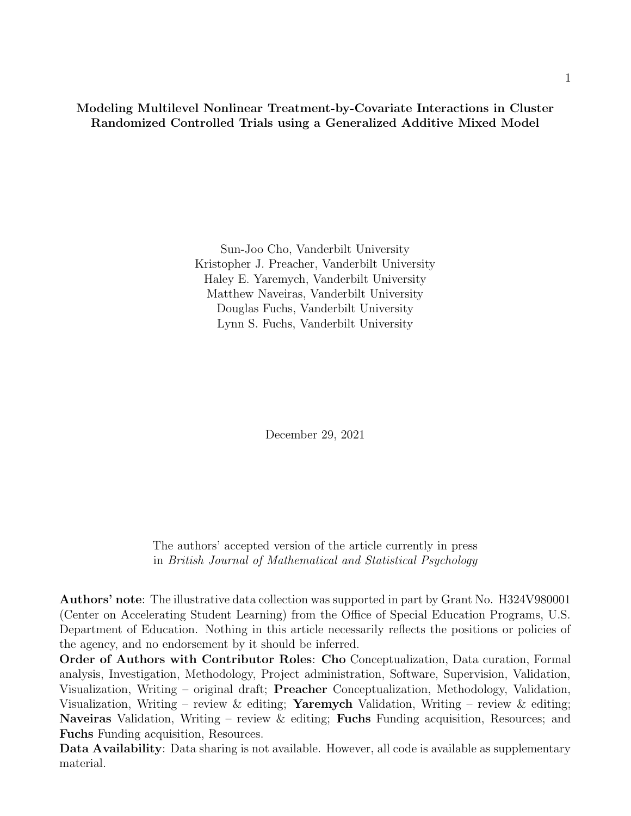**Modeling Multilevel Nonlinear Treatment-by-Covariate Interactions in Cluster Randomized Controlled Trials using a Generalized Additive Mixed Model**

> Sun-Joo Cho, Vanderbilt University Kristopher J. Preacher, Vanderbilt University Haley E. Yaremych, Vanderbilt University Matthew Naveiras, Vanderbilt University Douglas Fuchs, Vanderbilt University Lynn S. Fuchs, Vanderbilt University

> > December 29, 2021

The authors' accepted version of the article currently in press in *British Journal of Mathematical and Statistical Psychology*

**Authors' note**: The illustrative data collection was supported in part by Grant No. H324V980001 (Center on Accelerating Student Learning) from the Office of Special Education Programs, U.S. Department of Education. Nothing in this article necessarily reflects the positions or policies of the agency, and no endorsement by it should be inferred.

**Order of Authors with Contributor Roles**: **Cho** Conceptualization, Data curation, Formal analysis, Investigation, Methodology, Project administration, Software, Supervision, Validation, Visualization, Writing – original draft; **Preacher** Conceptualization, Methodology, Validation, Visualization, Writing – review & editing; **Yaremych** Validation, Writing – review & editing; **Naveiras** Validation, Writing – review & editing; **Fuchs** Funding acquisition, Resources; and **Fuchs** Funding acquisition, Resources.

**Data Availability**: Data sharing is not available. However, all code is available as supplementary material.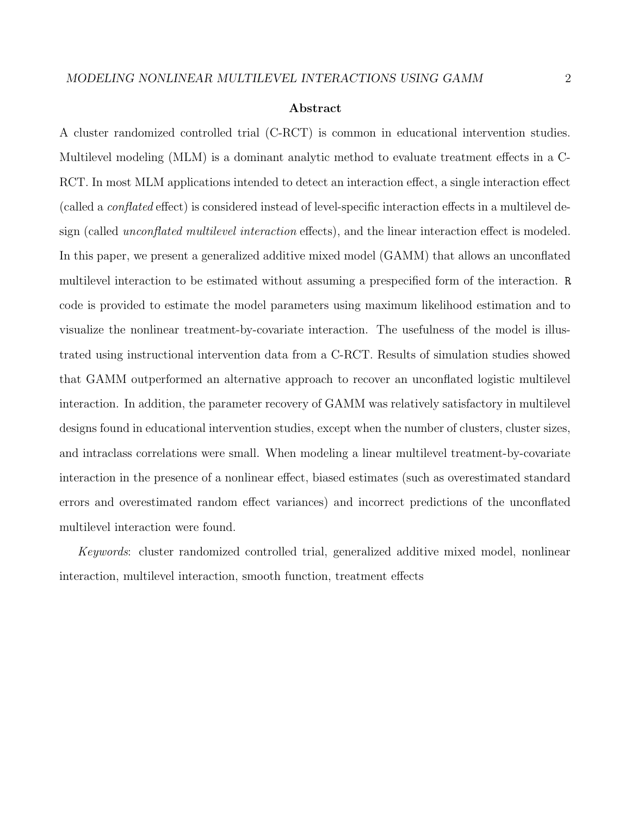#### **Abstract**

A cluster randomized controlled trial (C-RCT) is common in educational intervention studies. Multilevel modeling (MLM) is a dominant analytic method to evaluate treatment effects in a C-RCT. In most MLM applications intended to detect an interaction effect, a single interaction effect (called a *conflated* effect) is considered instead of level-specific interaction effects in a multilevel design (called *unconflated multilevel interaction* effects), and the linear interaction effect is modeled. In this paper, we present a generalized additive mixed model (GAMM) that allows an unconflated multilevel interaction to be estimated without assuming a prespecified form of the interaction. R code is provided to estimate the model parameters using maximum likelihood estimation and to visualize the nonlinear treatment-by-covariate interaction. The usefulness of the model is illustrated using instructional intervention data from a C-RCT. Results of simulation studies showed that GAMM outperformed an alternative approach to recover an unconflated logistic multilevel interaction. In addition, the parameter recovery of GAMM was relatively satisfactory in multilevel designs found in educational intervention studies, except when the number of clusters, cluster sizes, and intraclass correlations were small. When modeling a linear multilevel treatment-by-covariate interaction in the presence of a nonlinear effect, biased estimates (such as overestimated standard errors and overestimated random effect variances) and incorrect predictions of the unconflated multilevel interaction were found.

*Keywords*: cluster randomized controlled trial, generalized additive mixed model, nonlinear interaction, multilevel interaction, smooth function, treatment effects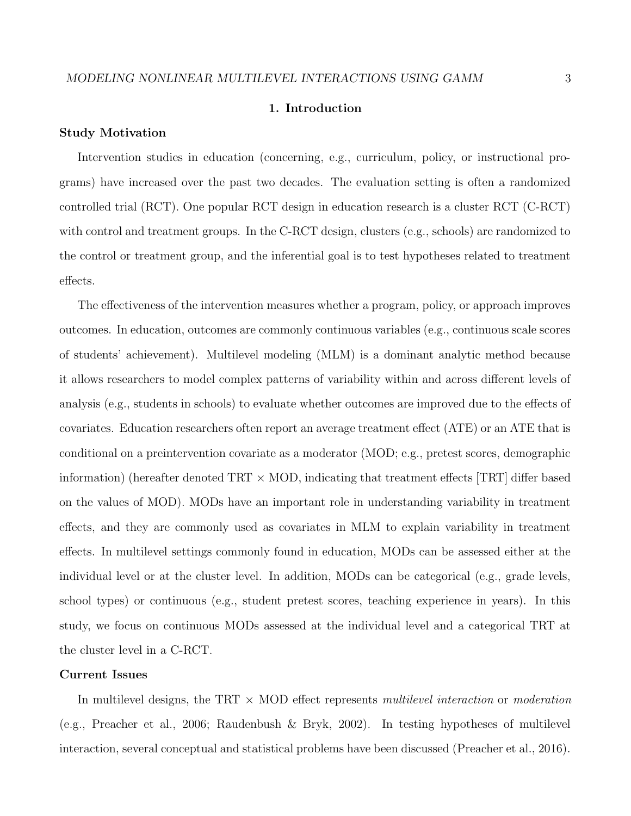### **1. Introduction**

### **Study Motivation**

Intervention studies in education (concerning, e.g., curriculum, policy, or instructional programs) have increased over the past two decades. The evaluation setting is often a randomized controlled trial (RCT). One popular RCT design in education research is a cluster RCT (C-RCT) with control and treatment groups. In the C-RCT design, clusters (e.g., schools) are randomized to the control or treatment group, and the inferential goal is to test hypotheses related to treatment effects.

The effectiveness of the intervention measures whether a program, policy, or approach improves outcomes. In education, outcomes are commonly continuous variables (e.g., continuous scale scores of students' achievement). Multilevel modeling (MLM) is a dominant analytic method because it allows researchers to model complex patterns of variability within and across different levels of analysis (e.g., students in schools) to evaluate whether outcomes are improved due to the effects of covariates. Education researchers often report an average treatment effect (ATE) or an ATE that is conditional on a preintervention covariate as a moderator (MOD; e.g., pretest scores, demographic information) (hereafter denoted TRT *×* MOD, indicating that treatment effects [TRT] differ based on the values of MOD). MODs have an important role in understanding variability in treatment effects, and they are commonly used as covariates in MLM to explain variability in treatment effects. In multilevel settings commonly found in education, MODs can be assessed either at the individual level or at the cluster level. In addition, MODs can be categorical (e.g., grade levels, school types) or continuous (e.g., student pretest scores, teaching experience in years). In this study, we focus on continuous MODs assessed at the individual level and a categorical TRT at the cluster level in a C-RCT.

### **Current Issues**

In multilevel designs, the TRT *×* MOD effect represents *multilevel interaction* or *moderation* (e.g., Preacher et al., 2006; Raudenbush & Bryk, 2002). In testing hypotheses of multilevel interaction, several conceptual and statistical problems have been discussed (Preacher et al., 2016).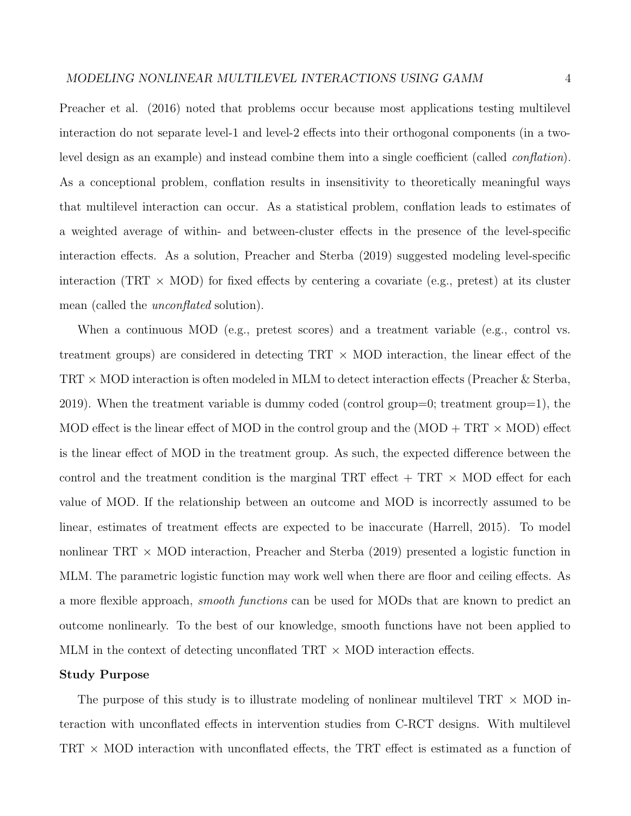Preacher et al. (2016) noted that problems occur because most applications testing multilevel interaction do not separate level-1 and level-2 effects into their orthogonal components (in a twolevel design as an example) and instead combine them into a single coefficient (called *conflation*). As a conceptional problem, conflation results in insensitivity to theoretically meaningful ways that multilevel interaction can occur. As a statistical problem, conflation leads to estimates of a weighted average of within- and between-cluster effects in the presence of the level-specific interaction effects. As a solution, Preacher and Sterba (2019) suggested modeling level-specific interaction (TRT *×* MOD) for fixed effects by centering a covariate (e.g., pretest) at its cluster mean (called the *unconflated* solution).

When a continuous MOD (e.g., pretest scores) and a treatment variable (e.g., control vs. treatment groups) are considered in detecting TRT *×* MOD interaction, the linear effect of the TRT *×* MOD interaction is often modeled in MLM to detect interaction effects (Preacher & Sterba, 2019). When the treatment variable is dummy coded (control group=0; treatment group=1), the MOD effect is the linear effect of MOD in the control group and the (MOD + TRT *×* MOD) effect is the linear effect of MOD in the treatment group. As such, the expected difference between the control and the treatment condition is the marginal TRT effect  $+$  TRT  $\times$  MOD effect for each value of MOD. If the relationship between an outcome and MOD is incorrectly assumed to be linear, estimates of treatment effects are expected to be inaccurate (Harrell, 2015). To model nonlinear TRT *×* MOD interaction, Preacher and Sterba (2019) presented a logistic function in MLM. The parametric logistic function may work well when there are floor and ceiling effects. As a more flexible approach, *smooth functions* can be used for MODs that are known to predict an outcome nonlinearly. To the best of our knowledge, smooth functions have not been applied to MLM in the context of detecting unconflated TRT *×* MOD interaction effects.

### **Study Purpose**

The purpose of this study is to illustrate modeling of nonlinear multilevel TRT *×* MOD interaction with unconflated effects in intervention studies from C-RCT designs. With multilevel TRT *×* MOD interaction with unconflated effects, the TRT effect is estimated as a function of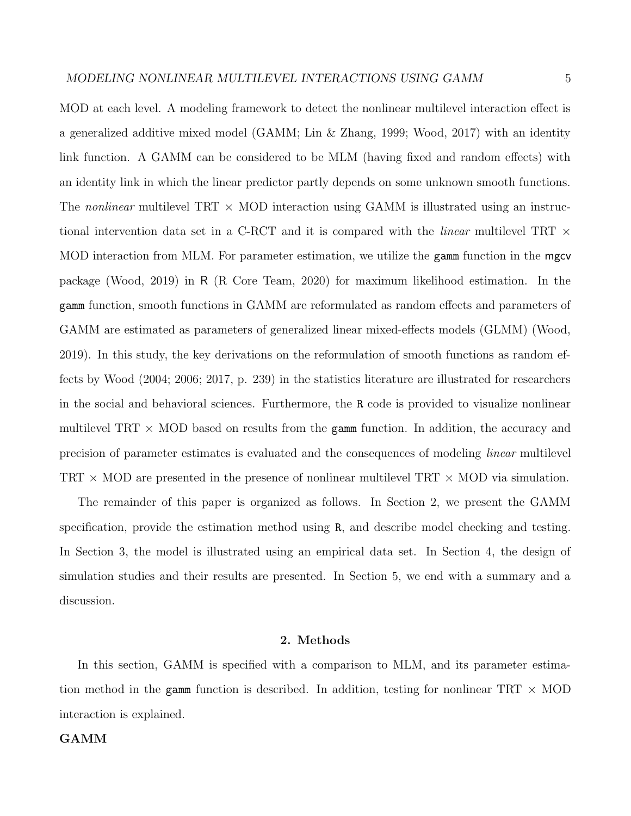MOD at each level. A modeling framework to detect the nonlinear multilevel interaction effect is a generalized additive mixed model (GAMM; Lin & Zhang, 1999; Wood, 2017) with an identity link function. A GAMM can be considered to be MLM (having fixed and random effects) with an identity link in which the linear predictor partly depends on some unknown smooth functions. The *nonlinear* multilevel TRT *×* MOD interaction using GAMM is illustrated using an instructional intervention data set in a C-RCT and it is compared with the *linear* multilevel TRT *×* MOD interaction from MLM. For parameter estimation, we utilize the gamm function in the mgcv package (Wood, 2019) in R (R Core Team, 2020) for maximum likelihood estimation. In the gamm function, smooth functions in GAMM are reformulated as random effects and parameters of GAMM are estimated as parameters of generalized linear mixed-effects models (GLMM) (Wood, 2019). In this study, the key derivations on the reformulation of smooth functions as random effects by Wood (2004; 2006; 2017, p. 239) in the statistics literature are illustrated for researchers in the social and behavioral sciences. Furthermore, the R code is provided to visualize nonlinear multilevel TRT *×* MOD based on results from the gamm function. In addition, the accuracy and precision of parameter estimates is evaluated and the consequences of modeling *linear* multilevel TRT *×* MOD are presented in the presence of nonlinear multilevel TRT *×* MOD via simulation.

The remainder of this paper is organized as follows. In Section 2, we present the GAMM specification, provide the estimation method using R, and describe model checking and testing. In Section 3, the model is illustrated using an empirical data set. In Section 4, the design of simulation studies and their results are presented. In Section 5, we end with a summary and a discussion.

### **2. Methods**

In this section, GAMM is specified with a comparison to MLM, and its parameter estimation method in the gamm function is described. In addition, testing for nonlinear TRT *×* MOD interaction is explained.

### **GAMM**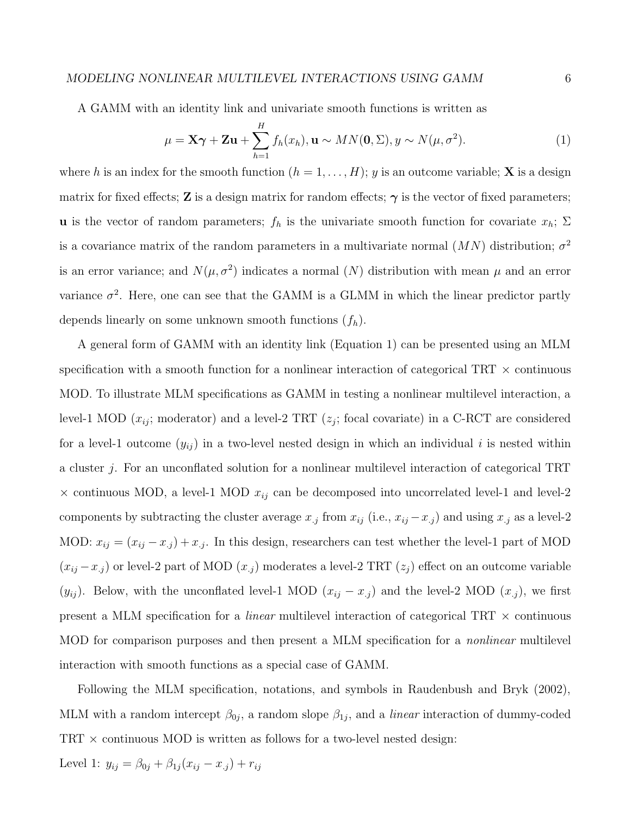### *MODELING NONLINEAR MULTILEVEL INTERACTIONS USING GAMM* 6

A GAMM with an identity link and univariate smooth functions is written as

$$
\mu = \mathbf{X}\boldsymbol{\gamma} + \mathbf{Z}\mathbf{u} + \sum_{h=1}^{H} f_h(x_h), \mathbf{u} \sim MN(\mathbf{0}, \Sigma), y \sim N(\mu, \sigma^2).
$$
 (1)

where *h* is an index for the smooth function  $(h = 1, \ldots, H)$ ; *y* is an outcome variable; **X** is a design matrix for fixed effects; **Z** is a design matrix for random effects;  $\gamma$  is the vector of fixed parameters; **u** is the vector of random parameters;  $f_h$  is the univariate smooth function for covariate  $x_h$ ;  $\Sigma$ is a covariance matrix of the random parameters in a multivariate normal  $(MN)$  distribution;  $\sigma^2$ is an error variance; and  $N(\mu, \sigma^2)$  indicates a normal  $(N)$  distribution with mean  $\mu$  and an error variance  $\sigma^2$ . Here, one can see that the GAMM is a GLMM in which the linear predictor partly depends linearly on some unknown smooth functions (*fh*).

A general form of GAMM with an identity link (Equation 1) can be presented using an MLM specification with a smooth function for a nonlinear interaction of categorical TRT *×* continuous MOD. To illustrate MLM specifications as GAMM in testing a nonlinear multilevel interaction, a level-1 MOD  $(x_{ij})$ ; moderator) and a level-2 TRT  $(z_j)$ ; focal covariate) in a C-RCT are considered for a level-1 outcome  $(y_{ij})$  in a two-level nested design in which an individual *i* is nested within a cluster *j*. For an unconflated solution for a nonlinear multilevel interaction of categorical TRT *×* continuous MOD, a level-1 MOD *xij* can be decomposed into uncorrelated level-1 and level-2 components by subtracting the cluster average  $x_j$  from  $x_{ij}$  (i.e.,  $x_{ij} - x_{.j}$ ) and using  $x_j$  as a level-2 MOD:  $x_{ij} = (x_{ij} - x_{.j}) + x_{.j}$ . In this design, researchers can test whether the level-1 part of MOD  $(x_{ij} - x_{.j})$  or level-2 part of MOD  $(x_{.j})$  moderates a level-2 TRT  $(z_j)$  effect on an outcome variable ( $y_{ij}$ ). Below, with the unconflated level-1 MOD ( $x_{ij} - x_{.j}$ ) and the level-2 MOD ( $x_{.j}$ ), we first present a MLM specification for a *linear* multilevel interaction of categorical TRT *×* continuous MOD for comparison purposes and then present a MLM specification for a *nonlinear* multilevel interaction with smooth functions as a special case of GAMM.

Following the MLM specification, notations, and symbols in Raudenbush and Bryk (2002), MLM with a random intercept  $\beta_{0j}$ , a random slope  $\beta_{1j}$ , and a *linear* interaction of dummy-coded TRT *×* continuous MOD is written as follows for a two-level nested design:

Level 1:  $y_{ij} = \beta_{0j} + \beta_{1j}(x_{ij} - x_{.j}) + r_{ij}$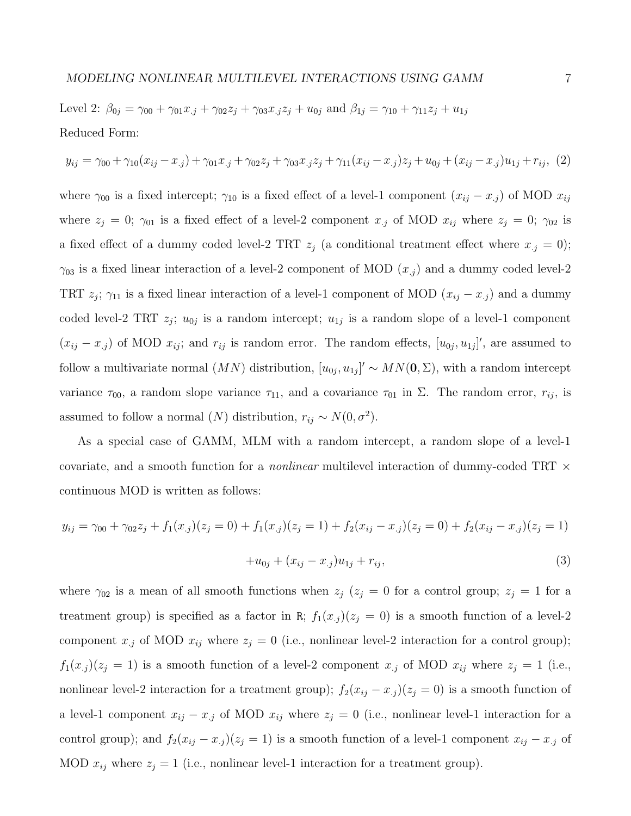Level 2:  $\beta_{0j} = \gamma_{00} + \gamma_{01}x_{.j} + \gamma_{02}z_j + \gamma_{03}x_{.j}z_j + u_{0j}$  and  $\beta_{1j} = \gamma_{10} + \gamma_{11}z_j + u_{1j}$ Reduced Form:

$$
y_{ij} = \gamma_{00} + \gamma_{10}(x_{ij} - x_{.j}) + \gamma_{01}x_{.j} + \gamma_{02}z_{j} + \gamma_{03}x_{.j}z_{j} + \gamma_{11}(x_{ij} - x_{.j})z_{j} + u_{0j} + (x_{ij} - x_{.j})u_{1j} + r_{ij}, \tag{2}
$$

where  $\gamma_{00}$  is a fixed intercept;  $\gamma_{10}$  is a fixed effect of a level-1 component  $(x_{ij} - x_{.j})$  of MOD  $x_{ij}$ where  $z_j = 0$ ;  $\gamma_{01}$  is a fixed effect of a level-2 component  $x_j$  of MOD  $x_{ij}$  where  $z_j = 0$ ;  $\gamma_{02}$  is a fixed effect of a dummy coded level-2 TRT  $z_j$  (a conditional treatment effect where  $x_{.j} = 0$ );  $\gamma_{03}$  is a fixed linear interaction of a level-2 component of MOD  $(x_j)$  and a dummy coded level-2 TRT  $z_j$ ;  $\gamma_{11}$  is a fixed linear interaction of a level-1 component of MOD ( $x_{ij} - x_{.j}$ ) and a dummy coded level-2 TRT  $z_j$ ;  $u_{0j}$  is a random intercept;  $u_{1j}$  is a random slope of a level-1 component  $(x_{ij} - x_{.j})$  of MOD  $x_{ij}$ ; and  $r_{ij}$  is random error. The random effects,  $[u_{0j}, u_{1j}]'$ , are assumed to follow a multivariate normal  $(MN)$  distribution,  $[u_{0j}, u_{1j}]' \sim MN(0, \Sigma)$ , with a random intercept variance  $\tau_{00}$ , a random slope variance  $\tau_{11}$ , and a covariance  $\tau_{01}$  in  $\Sigma$ . The random error,  $r_{ij}$ , is assumed to follow a normal  $(N)$  distribution,  $r_{ij} \sim N(0, \sigma^2)$ .

As a special case of GAMM, MLM with a random intercept, a random slope of a level-1 covariate, and a smooth function for a *nonlinear* multilevel interaction of dummy-coded TRT *×* continuous MOD is written as follows:

$$
y_{ij} = \gamma_{00} + \gamma_{02}z_j + f_1(x_j)(z_j = 0) + f_1(x_j)(z_j = 1) + f_2(x_{ij} - x_{.j})(z_j = 0) + f_2(x_{ij} - x_{.j})(z_j = 1) + u_{0j} + (x_{ij} - x_{.j})u_{1j} + r_{ij},
$$
\n(3)

where  $\gamma_{02}$  is a mean of all smooth functions when  $z_j$  ( $z_j = 0$  for a control group;  $z_j = 1$  for a treatment group) is specified as a factor in R;  $f_1(x_j)(z_j = 0)$  is a smooth function of a level-2 component  $x_j$  of MOD  $x_{ij}$  where  $z_j = 0$  (i.e., nonlinear level-2 interaction for a control group);  $f_1(x_j)(z_j = 1)$  is a smooth function of a level-2 component  $x_j$  of MOD  $x_{ij}$  where  $z_j = 1$  (i.e., nonlinear level-2 interaction for a treatment group);  $f_2(x_{ij} - x_{.j})(z_j = 0)$  is a smooth function of a level-1 component  $x_{ij} - x_{.j}$  of MOD  $x_{ij}$  where  $z_j = 0$  (i.e., nonlinear level-1 interaction for a control group); and  $f_2(x_{ij} - x_{.j})(z_j = 1)$  is a smooth function of a level-1 component  $x_{ij} - x_{.j}$  of MOD  $x_{ij}$  where  $z_j = 1$  (i.e., nonlinear level-1 interaction for a treatment group).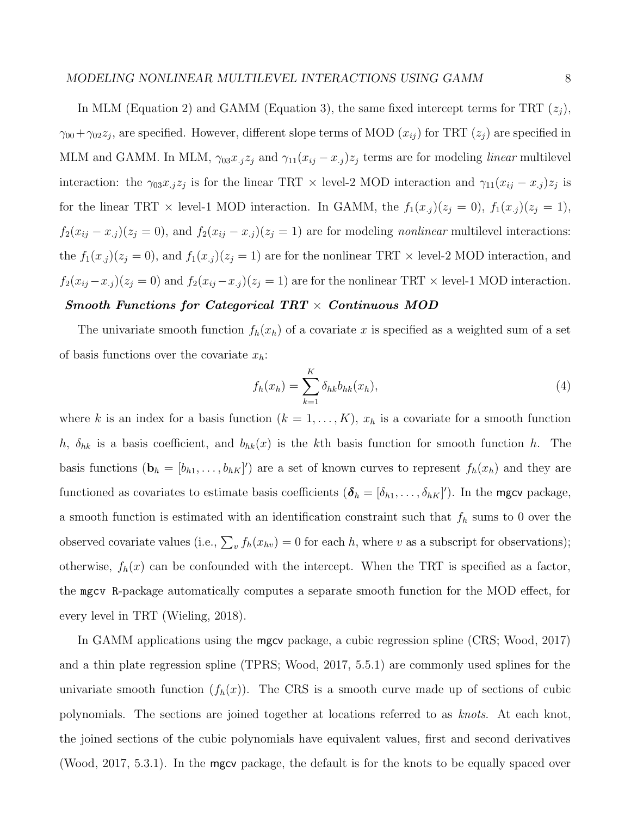In MLM (Equation 2) and GAMM (Equation 3), the same fixed intercept terms for TRT  $(z_j)$ ,  $\gamma_{00} + \gamma_{02}z_j$ , are specified. However, different slope terms of MOD  $(x_{ij})$  for TRT  $(z_j)$  are specified in MLM and GAMM. In MLM,  $\gamma_{03}x_{.j}z_j$  and  $\gamma_{11}(x_{ij}-x_{.j})z_j$  terms are for modeling *linear* multilevel interaction: the  $\gamma_{03}x_{.j}z_j$  is for the linear TRT  $\times$  level-2 MOD interaction and  $\gamma_{11}(x_{ij}-x_{.j})z_j$  is for the linear TRT  $\times$  level-1 MOD interaction. In GAMM, the  $f_1(x_j)(z_j = 0)$ ,  $f_1(x_j)(z_j = 1)$ ,  $f_2(x_{ij} - x_{.j})(z_j = 0)$ , and  $f_2(x_{ij} - x_{.j})(z_j = 1)$  are for modeling *nonlinear* multilevel interactions: the  $f_1(x_j)(z_j = 0)$ , and  $f_1(x_j)(z_j = 1)$  are for the nonlinear TRT  $\times$  level-2 MOD interaction, and  $f_2(x_{ij} - x_{.j})(z_j = 0)$  and  $f_2(x_{ij} - x_{.j})(z_j = 1)$  are for the nonlinear TRT  $\times$  level-1 MOD interaction.

# *Smooth Functions for Categorical TRT × Continuous MOD*

The univariate smooth function  $f_h(x_h)$  of a covariate x is specified as a weighted sum of a set of basis functions over the covariate *xh*:

$$
f_h(x_h) = \sum_{k=1}^K \delta_{hk} b_{hk}(x_h), \qquad (4)
$$

where *k* is an index for a basis function  $(k = 1, \ldots, K)$ ,  $x_h$  is a covariate for a smooth function *h*,  $\delta_{hk}$  is a basis coefficient, and  $b_{hk}(x)$  is the *k*th basis function for smooth function *h*. The basis functions  $(\mathbf{b}_h = [b_{h1}, \ldots, b_{hK}]')$  are a set of known curves to represent  $f_h(x_h)$  and they are functioned as covariates to estimate basis coefficients  $(\boldsymbol{\delta}_h = [\delta_{h1}, \dots, \delta_{hK}]')$ . In the mgcv package, a smooth function is estimated with an identification constraint such that *f<sup>h</sup>* sums to 0 over the observed covariate values (i.e.,  $\sum_{v} f_h(x_{hv}) = 0$  for each *h*, where *v* as a subscript for observations); otherwise,  $f_h(x)$  can be confounded with the intercept. When the TRT is specified as a factor, the mgcv R-package automatically computes a separate smooth function for the MOD effect, for every level in TRT (Wieling, 2018).

In GAMM applications using the mgcv package, a cubic regression spline (CRS; Wood, 2017) and a thin plate regression spline (TPRS; Wood, 2017, 5.5.1) are commonly used splines for the univariate smooth function  $(f_h(x))$ . The CRS is a smooth curve made up of sections of cubic polynomials. The sections are joined together at locations referred to as *knots*. At each knot, the joined sections of the cubic polynomials have equivalent values, first and second derivatives (Wood, 2017, 5.3.1). In the mgcv package, the default is for the knots to be equally spaced over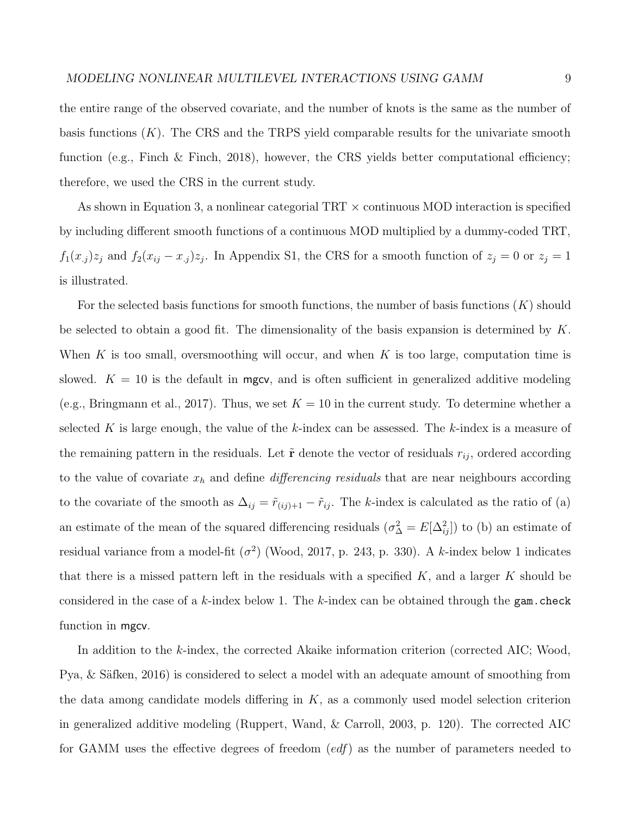the entire range of the observed covariate, and the number of knots is the same as the number of basis functions (*K*). The CRS and the TRPS yield comparable results for the univariate smooth function (e.g., Finch & Finch, 2018), however, the CRS yields better computational efficiency; therefore, we used the CRS in the current study.

As shown in Equation 3, a nonlinear categorial TRT *×* continuous MOD interaction is specified by including different smooth functions of a continuous MOD multiplied by a dummy-coded TRT,  $f_1(x_j)z_j$  and  $f_2(x_{ij} - x_{.j})z_j$ . In Appendix S1, the CRS for a smooth function of  $z_j = 0$  or  $z_j = 1$ is illustrated.

For the selected basis functions for smooth functions, the number of basis functions (*K*) should be selected to obtain a good fit. The dimensionality of the basis expansion is determined by *K*. When *K* is too small, oversmoothing will occur, and when *K* is too large, computation time is slowed.  $K = 10$  is the default in mgcv, and is often sufficient in generalized additive modeling (e.g., Bringmann et al., 2017). Thus, we set  $K = 10$  in the current study. To determine whether a selected *K* is large enough, the value of the *k*-index can be assessed. The *k*-index is a measure of the remaining pattern in the residuals. Let  $\tilde{\mathbf{r}}$  denote the vector of residuals  $r_{ij}$ , ordered according to the value of covariate  $x_h$  and define *differencing residuals* that are near neighbours according to the covariate of the smooth as  $\Delta_{ij} = \tilde{r}_{(ij)+1} - \tilde{r}_{ij}$ . The *k*-index is calculated as the ratio of (a) an estimate of the mean of the squared differencing residuals  $(\sigma_{\Delta}^2 = E[\Delta_{ij}^2])$  to (b) an estimate of residual variance from a model-fit  $(\sigma^2)$  (Wood, 2017, p. 243, p. 330). A *k*-index below 1 indicates that there is a missed pattern left in the residuals with a specified *K*, and a larger *K* should be considered in the case of a *k*-index below 1. The *k*-index can be obtained through the gam.check function in mgcv.

In addition to the *k*-index, the corrected Akaike information criterion (corrected AIC; Wood, Pya, & Säfken, 2016) is considered to select a model with an adequate amount of smoothing from the data among candidate models differing in *K*, as a commonly used model selection criterion in generalized additive modeling (Ruppert, Wand, & Carroll, 2003, p. 120). The corrected AIC for GAMM uses the effective degrees of freedom (*edf*) as the number of parameters needed to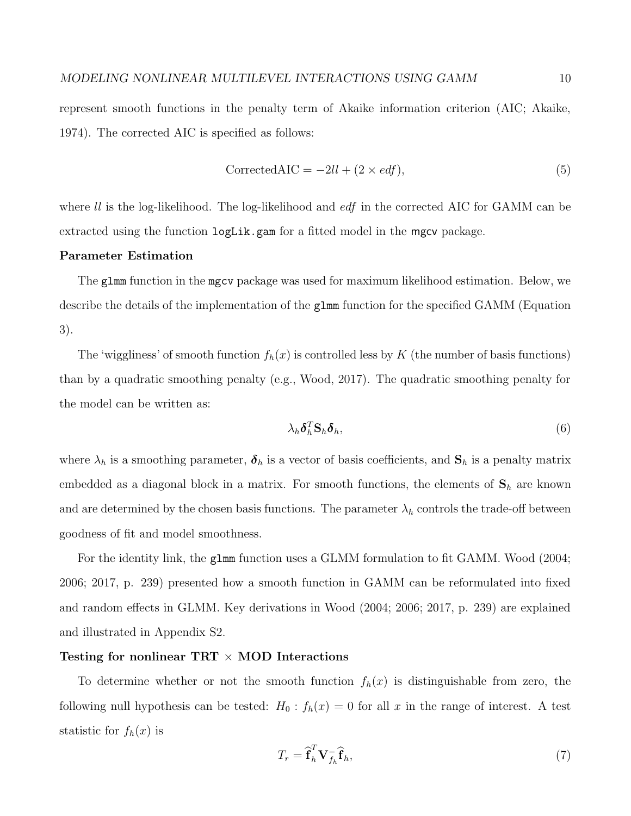represent smooth functions in the penalty term of Akaike information criterion (AIC; Akaike, 1974). The corrected AIC is specified as follows:

$$
Corrected AIC = -2ll + (2 \times edf),
$$
\n(5)

where *ll* is the log-likelihood. The log-likelihood and *edf* in the corrected AIC for GAMM can be extracted using the function logLik.gam for a fitted model in the mgcv package.

## **Parameter Estimation**

The glmm function in the mgcv package was used for maximum likelihood estimation. Below, we describe the details of the implementation of the glmm function for the specified GAMM (Equation 3).

The 'wiggliness' of smooth function  $f_h(x)$  is controlled less by  $K$  (the number of basis functions) than by a quadratic smoothing penalty (e.g., Wood, 2017). The quadratic smoothing penalty for the model can be written as:

$$
\lambda_h \delta_h^T \mathbf{S}_h \delta_h,\tag{6}
$$

where  $\lambda_h$  is a smoothing parameter,  $\delta_h$  is a vector of basis coefficients, and  $\mathbf{S}_h$  is a penalty matrix embedded as a diagonal block in a matrix. For smooth functions, the elements of  $S_h$  are known and are determined by the chosen basis functions. The parameter  $\lambda_h$  controls the trade-off between goodness of fit and model smoothness.

For the identity link, the glmm function uses a GLMM formulation to fit GAMM. Wood (2004; 2006; 2017, p. 239) presented how a smooth function in GAMM can be reformulated into fixed and random effects in GLMM. Key derivations in Wood (2004; 2006; 2017, p. 239) are explained and illustrated in Appendix S2.

# **Testing for nonlinear TRT** *×* **MOD Interactions**

To determine whether or not the smooth function  $f_h(x)$  is distinguishable from zero, the following null hypothesis can be tested:  $H_0: f_h(x) = 0$  for all x in the range of interest. A test statistic for  $f_h(x)$  is

$$
T_r = \hat{\mathbf{f}}_h^T \mathbf{V}_{f_h}^- \hat{\mathbf{f}}_h, \tag{7}
$$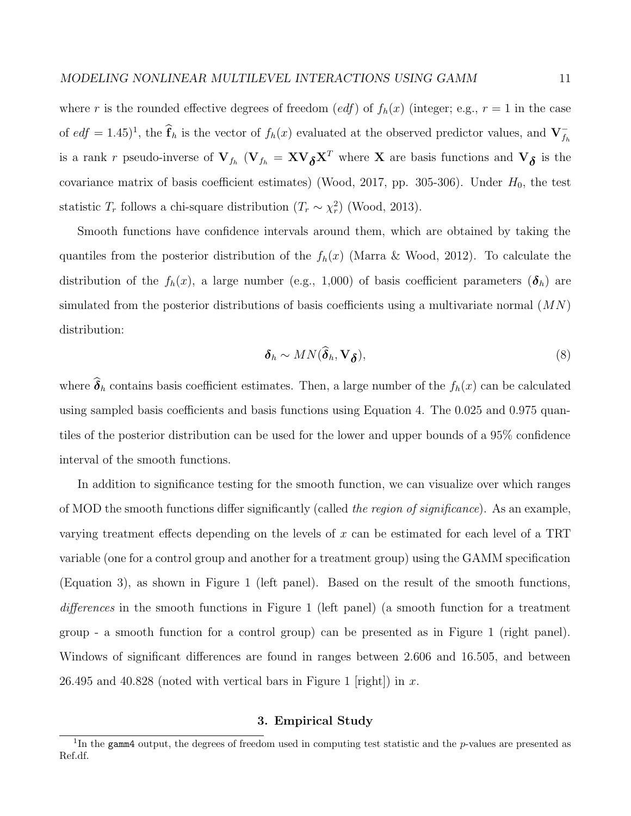where *r* is the rounded effective degrees of freedom (*edf*) of  $f_h(x)$  (integer; e.g.,  $r = 1$  in the case of  $edf = 1.45$ <sup> $\}$ </sup>, the  $\hat{f}_h$  is the vector of  $f_h(x)$  evaluated at the observed predictor values, and  $V_{f_h}^$ is a rank *r* pseudo-inverse of  $V_{f_h}$  ( $V_{f_h} = XV_{\delta}X^T$  where X are basis functions and  $V_{\delta}$  is the covariance matrix of basis coefficient estimates) (Wood, 2017, pp. 305-306). Under  $H_0$ , the test statistic  $T_r$  follows a chi-square distribution  $(T_r \sim \chi_r^2)$  (Wood, 2013).

Smooth functions have confidence intervals around them, which are obtained by taking the quantiles from the posterior distribution of the  $f_h(x)$  (Marra & Wood, 2012). To calculate the distribution of the  $f_h(x)$ , a large number (e.g., 1,000) of basis coefficient parameters  $(\delta_h)$  are simulated from the posterior distributions of basis coefficients using a multivariate normal (*MN*) distribution:

$$
\delta_h \sim MN(\delta_h, \mathbf{V}_{\boldsymbol{\delta}}),\tag{8}
$$

where  $\hat{\delta}_h$  contains basis coefficient estimates. Then, a large number of the  $f_h(x)$  can be calculated using sampled basis coefficients and basis functions using Equation 4. The 0.025 and 0.975 quantiles of the posterior distribution can be used for the lower and upper bounds of a 95% confidence interval of the smooth functions.

In addition to significance testing for the smooth function, we can visualize over which ranges of MOD the smooth functions differ significantly (called *the region of significance*). As an example, varying treatment effects depending on the levels of *x* can be estimated for each level of a TRT variable (one for a control group and another for a treatment group) using the GAMM specification (Equation 3), as shown in Figure 1 (left panel). Based on the result of the smooth functions, *differences* in the smooth functions in Figure 1 (left panel) (a smooth function for a treatment group - a smooth function for a control group) can be presented as in Figure 1 (right panel). Windows of significant differences are found in ranges between 2.606 and 16.505, and between 26.495 and 40.828 (noted with vertical bars in Figure 1 [right]) in *x*.

## **3. Empirical Study**

<sup>1</sup> In the gamm4 output, the degrees of freedom used in computing test statistic and the *p*-values are presented as Ref.df.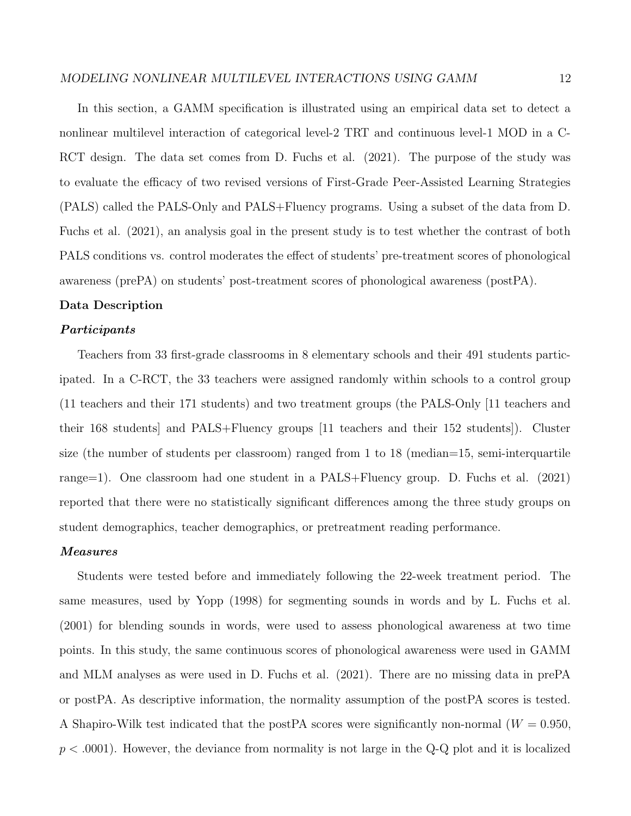In this section, a GAMM specification is illustrated using an empirical data set to detect a nonlinear multilevel interaction of categorical level-2 TRT and continuous level-1 MOD in a C-RCT design. The data set comes from D. Fuchs et al. (2021). The purpose of the study was to evaluate the efficacy of two revised versions of First-Grade Peer-Assisted Learning Strategies (PALS) called the PALS-Only and PALS+Fluency programs. Using a subset of the data from D. Fuchs et al. (2021), an analysis goal in the present study is to test whether the contrast of both PALS conditions vs. control moderates the effect of students' pre-treatment scores of phonological awareness (prePA) on students' post-treatment scores of phonological awareness (postPA).

### **Data Description**

### *Participants*

Teachers from 33 first-grade classrooms in 8 elementary schools and their 491 students participated. In a C-RCT, the 33 teachers were assigned randomly within schools to a control group (11 teachers and their 171 students) and two treatment groups (the PALS-Only [11 teachers and their 168 students] and PALS+Fluency groups [11 teachers and their 152 students]). Cluster size (the number of students per classroom) ranged from 1 to 18 (median=15, semi-interquartile range=1). One classroom had one student in a PALS+Fluency group. D. Fuchs et al. (2021) reported that there were no statistically significant differences among the three study groups on student demographics, teacher demographics, or pretreatment reading performance.

### *Measures*

Students were tested before and immediately following the 22-week treatment period. The same measures, used by Yopp (1998) for segmenting sounds in words and by L. Fuchs et al. (2001) for blending sounds in words, were used to assess phonological awareness at two time points. In this study, the same continuous scores of phonological awareness were used in GAMM and MLM analyses as were used in D. Fuchs et al. (2021). There are no missing data in prePA or postPA. As descriptive information, the normality assumption of the postPA scores is tested. A Shapiro-Wilk test indicated that the postPA scores were significantly non-normal  $(W = 0.950,$ *p < .*0001). However, the deviance from normality is not large in the Q-Q plot and it is localized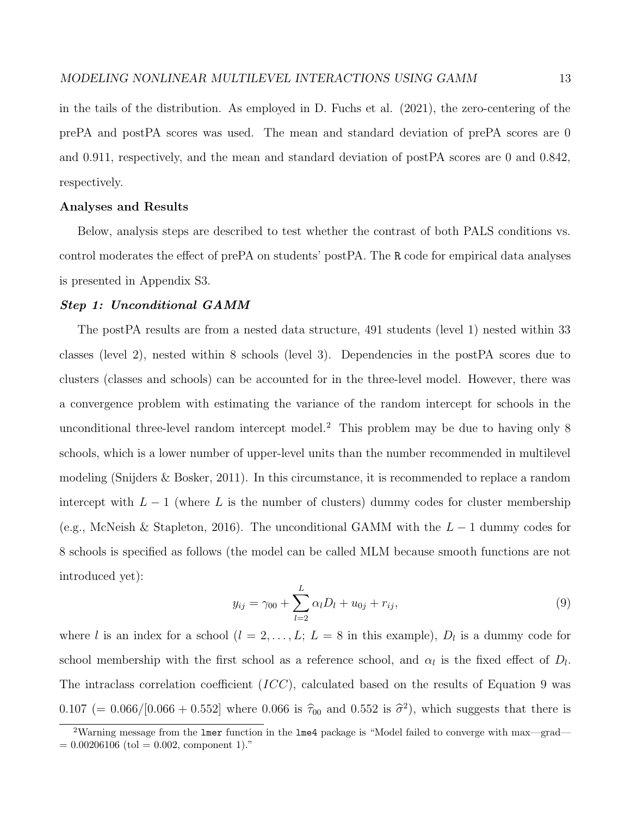in the tails of the distribution. As employed in D. Fuchs et al. (2021), the zero-centering of the prePA and postPA scores was used. The mean and standard deviation of prePA scores are 0 and 0.911, respectively, and the mean and standard deviation of postPA scores are 0 and 0.842, respectively.

## **Analyses and Results**

Below, analysis steps are described to test whether the contrast of both PALS conditions vs. control moderates the effect of prePA on students' postPA. The R code for empirical data analyses is presented in Appendix S3.

### *Step 1: Unconditional GAMM*

The postPA results are from a nested data structure, 491 students (level 1) nested within 33 classes (level 2), nested within 8 schools (level 3). Dependencies in the postPA scores due to clusters (classes and schools) can be accounted for in the three-level model. However, there was a convergence problem with estimating the variance of the random intercept for schools in the unconditional three-level random intercept model.<sup>2</sup> This problem may be due to having only 8 schools, which is a lower number of upper-level units than the number recommended in multilevel modeling (Snijders & Bosker, 2011). In this circumstance, it is recommended to replace a random intercept with  $L-1$  (where L is the number of clusters) dummy codes for cluster membership (e.g., McNeish & Stapleton, 2016). The unconditional GAMM with the *L −* 1 dummy codes for 8 schools is specified as follows (the model can be called MLM because smooth functions are not introduced yet):

$$
y_{ij} = \gamma_{00} + \sum_{l=2}^{L} \alpha_l D_l + u_{0j} + r_{ij}, \qquad (9)
$$

where *l* is an index for a school  $(l = 2, \ldots, L; L = 8$  in this example),  $D_l$  is a dummy code for school membership with the first school as a reference school, and  $\alpha_l$  is the fixed effect of  $D_l$ . The intraclass correlation coefficient (*ICC*), calculated based on the results of Equation 9 was  $0.107 (= 0.066/[0.066 + 0.552]$  where 0.066 is  $\hat{\tau}_{00}$  and 0.552 is  $\hat{\sigma}^2$ ), which suggests that there is

<sup>&</sup>lt;sup>2</sup>Warning message from the lmer function in the lme4 package is "Model failed to converge with max—grad—  $= 0.00206106$  (tol  $= 0.002$ , component 1)."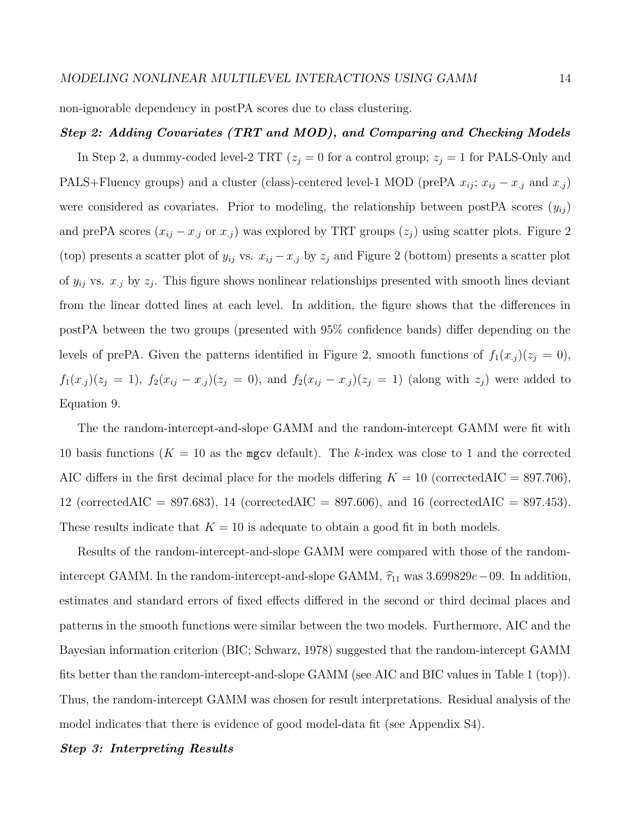non-ignorable dependency in postPA scores due to class clustering.

## *Step 2: Adding Covariates (TRT and MOD), and Comparing and Checking Models*

In Step 2, a dummy-coded level-2 TRT  $(z_j = 0$  for a control group;  $z_j = 1$  for PALS-Only and PALS+Fluency groups) and a cluster (class)-centered level-1 MOD (prePA  $x_{ij}$ ;  $x_{ij} - x_{.j}$  and  $x_{.j}$ ) were considered as covariates. Prior to modeling, the relationship between postPA scores  $(y_{ij})$ and prePA scores  $(x_{ij} - x_{.j}$  or  $x_{.j}$ ) was explored by TRT groups  $(z_j)$  using scatter plots. Figure 2 (top) presents a scatter plot of  $y_{ij}$  vs.  $x_{ij} - x_{.j}$  by  $z_j$  and Figure 2 (bottom) presents a scatter plot of *yij* vs. *x.j* by *z<sup>j</sup>* . This figure shows nonlinear relationships presented with smooth lines deviant from the linear dotted lines at each level. In addition, the figure shows that the differences in postPA between the two groups (presented with 95% confidence bands) differ depending on the levels of prePA. Given the patterns identified in Figure 2, smooth functions of  $f_1(x_j)(z_j = 0)$ ,  $f_1(x_j)(z_j = 1)$ ,  $f_2(x_{ij} - x_{.j})(z_j = 0)$ , and  $f_2(x_{ij} - x_{.j})(z_j = 1)$  (along with  $z_j$ ) were added to Equation 9.

The the random-intercept-and-slope GAMM and the random-intercept GAMM were fit with 10 basis functions  $(K = 10$  as the mgcv default). The *k*-index was close to 1 and the corrected AIC differs in the first decimal place for the models differing  $K = 10$  (correctedAIC = 897.706), 12 (correctedAIC = 897*.*683), 14 (correctedAIC = 897*.*606), and 16 (correctedAIC = 897*.*453). These results indicate that  $K = 10$  is adequate to obtain a good fit in both models.

Results of the random-intercept-and-slope GAMM were compared with those of the randomintercept GAMM. In the random-intercept-and-slope GAMM,  $\hat{\tau}_{11}$  was 3*.699829e* − 09. In addition, estimates and standard errors of fixed effects differed in the second or third decimal places and patterns in the smooth functions were similar between the two models. Furthermore, AIC and the Bayesian information criterion (BIC; Schwarz, 1978) suggested that the random-intercept GAMM fits better than the random-intercept-and-slope GAMM (see AIC and BIC values in Table 1 (top)). Thus, the random-intercept GAMM was chosen for result interpretations. Residual analysis of the model indicates that there is evidence of good model-data fit (see Appendix S4).

## *Step 3: Interpreting Results*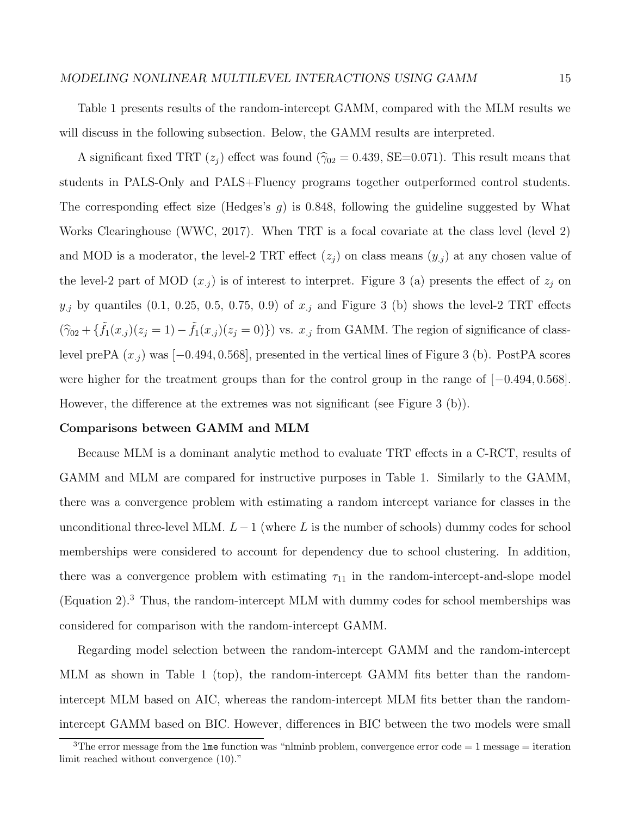### *MODELING NONLINEAR MULTILEVEL INTERACTIONS USING GAMM* 15

Table 1 presents results of the random-intercept GAMM, compared with the MLM results we will discuss in the following subsection. Below, the GAMM results are interpreted.

A significant fixed TRT  $(z_j)$  effect was found  $(\hat{\gamma}_{02} = 0.439, \text{SE} = 0.071)$ . This result means that students in PALS-Only and PALS+Fluency programs together outperformed control students. The corresponding effect size (Hedges's *g*) is 0.848, following the guideline suggested by What Works Clearinghouse (WWC, 2017). When TRT is a focal covariate at the class level (level 2) and MOD is a moderator, the level-2 TRT effect  $(z_j)$  on class means  $(y_j)$  at any chosen value of the level-2 part of MOD  $(x_j)$  is of interest to interpret. Figure 3 (a) presents the effect of  $z_j$  on  $y_j$  by quantiles (0.1, 0.25, 0.5, 0.75, 0.9) of  $x_j$  and Figure 3 (b) shows the level-2 TRT effects  $(\hat{\gamma}_{02} + {\{\tilde{f}_1(x_j)(z_j = 1) - \tilde{f}_1(x_j)(z_j = 0)\}})$  vs.  $x_{.j}$  from GAMM. The region of significance of classlevel prePA (*x.j* ) was [*−*0*.*494*,* 0*.*568], presented in the vertical lines of Figure 3 (b). PostPA scores were higher for the treatment groups than for the control group in the range of [*−*0*.*494*,* 0*.*568]. However, the difference at the extremes was not significant (see Figure 3 (b)).

#### **Comparisons between GAMM and MLM**

Because MLM is a dominant analytic method to evaluate TRT effects in a C-RCT, results of GAMM and MLM are compared for instructive purposes in Table 1. Similarly to the GAMM, there was a convergence problem with estimating a random intercept variance for classes in the unconditional three-level MLM.  $L-1$  (where L is the number of schools) dummy codes for school memberships were considered to account for dependency due to school clustering. In addition, there was a convergence problem with estimating  $\tau_{11}$  in the random-intercept-and-slope model (Equation 2).<sup>3</sup> Thus, the random-intercept MLM with dummy codes for school memberships was considered for comparison with the random-intercept GAMM.

Regarding model selection between the random-intercept GAMM and the random-intercept MLM as shown in Table 1 (top), the random-intercept GAMM fits better than the randomintercept MLM based on AIC, whereas the random-intercept MLM fits better than the randomintercept GAMM based on BIC. However, differences in BIC between the two models were small

 $3$ The error message from the lme function was "nlminb problem, convergence error code = 1 message = iteration limit reached without convergence (10)."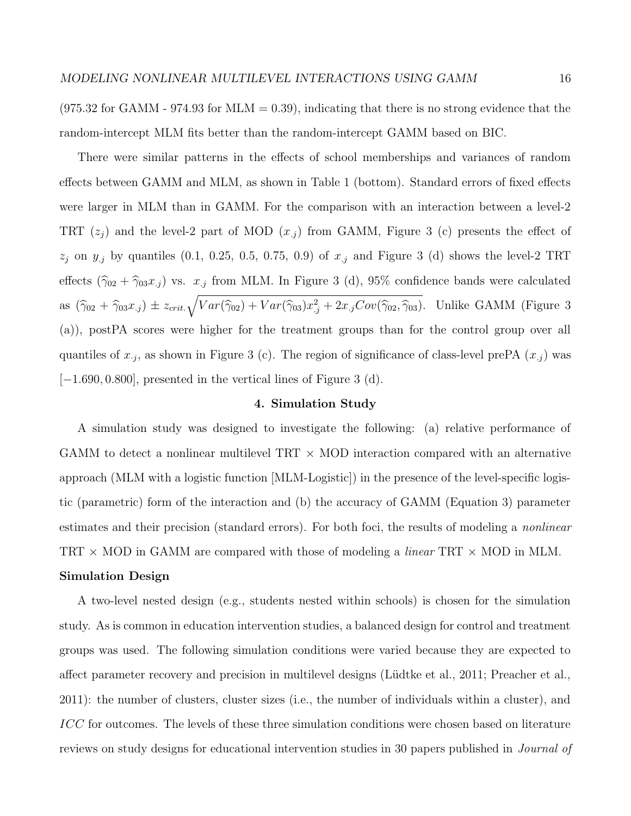$(975.32 \text{ for GAMM} - 974.93 \text{ for MLM} = 0.39)$ , indicating that there is no strong evidence that the random-intercept MLM fits better than the random-intercept GAMM based on BIC.

There were similar patterns in the effects of school memberships and variances of random effects between GAMM and MLM, as shown in Table 1 (bottom). Standard errors of fixed effects were larger in MLM than in GAMM. For the comparison with an interaction between a level-2 TRT  $(z_i)$  and the level-2 part of MOD  $(x_i)$  from GAMM, Figure 3 (c) presents the effect of *z<sup>j</sup>* on *y.j* by quantiles (0.1, 0.25, 0.5, 0.75, 0.9) of *x.j* and Figure 3 (d) shows the level-2 TRT effects  $(\hat{\gamma}_{02} + \hat{\gamma}_{03}x_{.j})$  vs.  $x_{.j}$  from MLM. In Figure 3 (d), 95% confidence bands were calculated as  $(\hat{\gamma}_{02} + \hat{\gamma}_{03}x_{.j}) \pm z_{crit} \sqrt{Var(\hat{\gamma}_{02}) + Var(\hat{\gamma}_{03})x_{.j}^2 + 2x_{.j}Cov(\hat{\gamma}_{02}, \hat{\gamma}_{03})}$ . Unlike GAMM (Figure 3 (a)), postPA scores were higher for the treatment groups than for the control group over all quantiles of  $x_j$ , as shown in Figure 3 (c). The region of significance of class-level prePA  $(x_j)$  was [*−*1*.*690*,* 0*.*800], presented in the vertical lines of Figure 3 (d).

### **4. Simulation Study**

A simulation study was designed to investigate the following: (a) relative performance of GAMM to detect a nonlinear multilevel TRT *×* MOD interaction compared with an alternative approach (MLM with a logistic function [MLM-Logistic]) in the presence of the level-specific logistic (parametric) form of the interaction and (b) the accuracy of GAMM (Equation 3) parameter estimates and their precision (standard errors). For both foci, the results of modeling a *nonlinear* TRT *×* MOD in GAMM are compared with those of modeling a *linear* TRT *×* MOD in MLM.

# **Simulation Design**

A two-level nested design (e.g., students nested within schools) is chosen for the simulation study. As is common in education intervention studies, a balanced design for control and treatment groups was used. The following simulation conditions were varied because they are expected to affect parameter recovery and precision in multilevel designs (Lüdtke et al., 2011; Preacher et al., 2011): the number of clusters, cluster sizes (i.e., the number of individuals within a cluster), and *ICC* for outcomes. The levels of these three simulation conditions were chosen based on literature reviews on study designs for educational intervention studies in 30 papers published in *Journal of*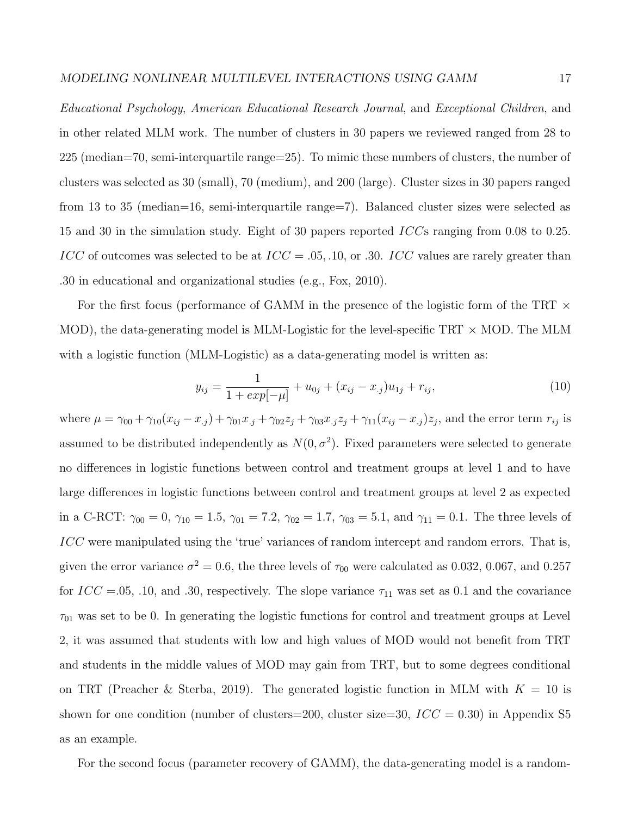*Educational Psychology*, *American Educational Research Journal*, and *Exceptional Children*, and in other related MLM work. The number of clusters in 30 papers we reviewed ranged from 28 to 225 (median=70, semi-interquartile range=25). To mimic these numbers of clusters, the number of clusters was selected as 30 (small), 70 (medium), and 200 (large). Cluster sizes in 30 papers ranged from 13 to 35 (median=16, semi-interquartile range=7). Balanced cluster sizes were selected as 15 and 30 in the simulation study. Eight of 30 papers reported *ICC*s ranging from 0.08 to 0.25. *ICC* of outcomes was selected to be at *ICC* = *.*05*, .*10*,* or *.*30. *ICC* values are rarely greater than .30 in educational and organizational studies (e.g., Fox, 2010).

For the first focus (performance of GAMM in the presence of the logistic form of the TRT *×* MOD), the data-generating model is MLM-Logistic for the level-specific TRT *×* MOD. The MLM with a logistic function (MLM-Logistic) as a data-generating model is written as:

$$
y_{ij} = \frac{1}{1 + exp[-\mu]} + u_{0j} + (x_{ij} - x_{.j})u_{1j} + r_{ij},\tag{10}
$$

where  $\mu = \gamma_{00} + \gamma_{10}(x_{ij} - x_{.j}) + \gamma_{01}x_{.j} + \gamma_{02}z_j + \gamma_{03}x_{.j}z_j + \gamma_{11}(x_{ij} - x_{.j})z_j$ , and the error term  $r_{ij}$  is assumed to be distributed independently as  $N(0, \sigma^2)$ . Fixed parameters were selected to generate no differences in logistic functions between control and treatment groups at level 1 and to have large differences in logistic functions between control and treatment groups at level 2 as expected in a C-RCT:  $\gamma_{00} = 0$ ,  $\gamma_{10} = 1.5$ ,  $\gamma_{01} = 7.2$ ,  $\gamma_{02} = 1.7$ ,  $\gamma_{03} = 5.1$ , and  $\gamma_{11} = 0.1$ . The three levels of *ICC* were manipulated using the 'true' variances of random intercept and random errors. That is, given the error variance  $\sigma^2 = 0.6$ , the three levels of  $\tau_{00}$  were calculated as 0.032, 0.067, and 0.257 for  $ICC = .05, .10, and .30$ , respectively. The slope variance  $\tau_{11}$  was set as 0.1 and the covariance  $\tau_{01}$  was set to be 0. In generating the logistic functions for control and treatment groups at Level 2, it was assumed that students with low and high values of MOD would not benefit from TRT and students in the middle values of MOD may gain from TRT, but to some degrees conditional on TRT (Preacher & Sterba, 2019). The generated logistic function in MLM with  $K = 10$  is shown for one condition (number of clusters=200, cluster size=30, *ICC* = 0*.*30) in Appendix S5 as an example.

For the second focus (parameter recovery of GAMM), the data-generating model is a random-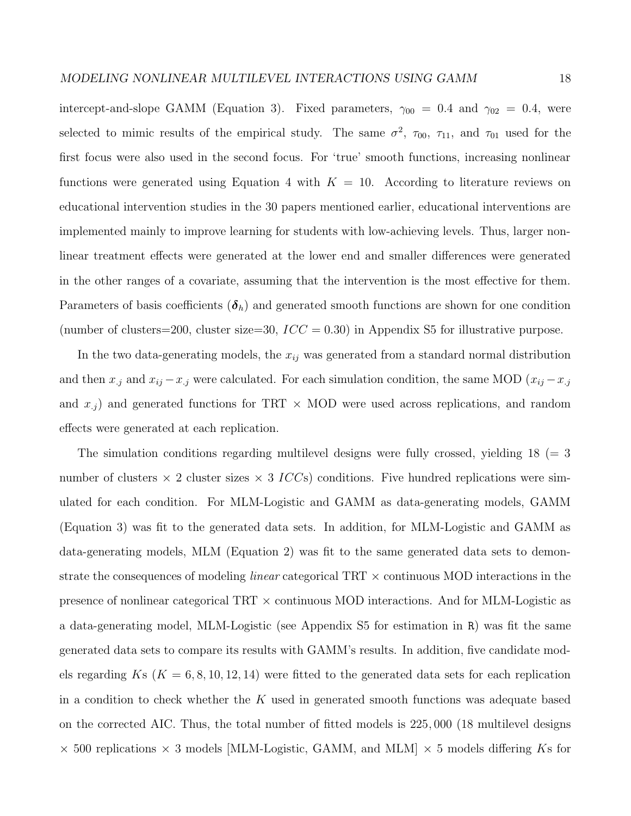intercept-and-slope GAMM (Equation 3). Fixed parameters,  $\gamma_{00} = 0.4$  and  $\gamma_{02} = 0.4$ , were selected to mimic results of the empirical study. The same  $\sigma^2$ ,  $\tau_{00}$ ,  $\tau_{11}$ , and  $\tau_{01}$  used for the first focus were also used in the second focus. For 'true' smooth functions, increasing nonlinear functions were generated using Equation 4 with  $K = 10$ . According to literature reviews on educational intervention studies in the 30 papers mentioned earlier, educational interventions are implemented mainly to improve learning for students with low-achieving levels. Thus, larger nonlinear treatment effects were generated at the lower end and smaller differences were generated in the other ranges of a covariate, assuming that the intervention is the most effective for them. Parameters of basis coefficients  $(\boldsymbol{\delta}_h)$  and generated smooth functions are shown for one condition (number of clusters=200, cluster size=30,  $ICC = 0.30$ ) in Appendix S5 for illustrative purpose.

In the two data-generating models, the *xij* was generated from a standard normal distribution and then  $x_j$  and  $x_{ij} - x_j$  were calculated. For each simulation condition, the same MOD ( $x_{ij} - x_j$ and  $x_{.j}$  and generated functions for TRT  $\times$  MOD were used across replications, and random effects were generated at each replication.

The simulation conditions regarding multilevel designs were fully crossed, yielding  $18 (= 3$ number of clusters  $\times$  2 cluster sizes  $\times$  3 *ICC*s) conditions. Five hundred replications were simulated for each condition. For MLM-Logistic and GAMM as data-generating models, GAMM (Equation 3) was fit to the generated data sets. In addition, for MLM-Logistic and GAMM as data-generating models, MLM (Equation 2) was fit to the same generated data sets to demonstrate the consequences of modeling *linear* categorical TRT *×* continuous MOD interactions in the presence of nonlinear categorical TRT *×* continuous MOD interactions. And for MLM-Logistic as a data-generating model, MLM-Logistic (see Appendix S5 for estimation in R) was fit the same generated data sets to compare its results with GAMM's results. In addition, five candidate models regarding  $Ks$  ( $K = 6, 8, 10, 12, 14$ ) were fitted to the generated data sets for each replication in a condition to check whether the *K* used in generated smooth functions was adequate based on the corrected AIC. Thus, the total number of fitted models is 225*,* 000 (18 multilevel designs *×* 500 replications *×* 3 models [MLM-Logistic, GAMM, and MLM] *×* 5 models differing *K*s for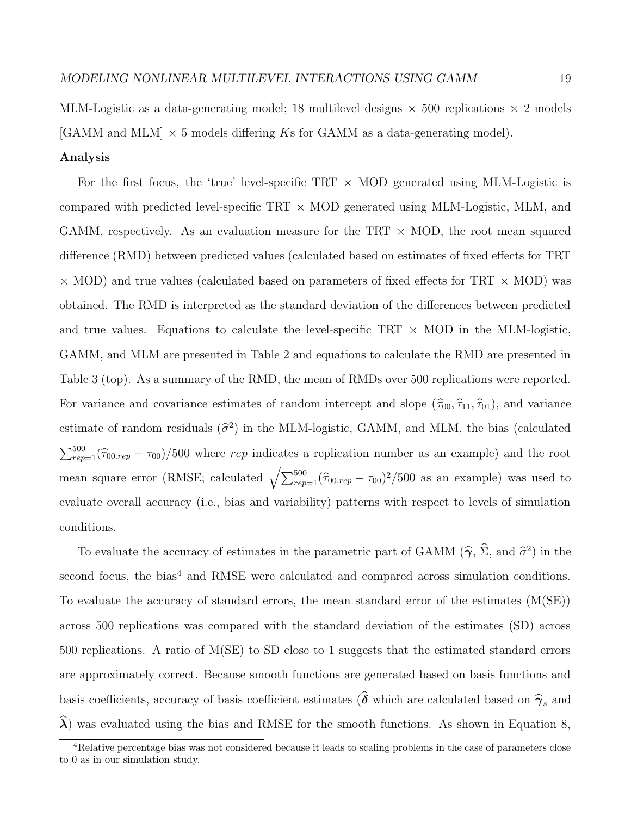MLM-Logistic as a data-generating model; 18 multilevel designs *×* 500 replications *×* 2 models [GAMM and MLM] *×* 5 models differing *K*s for GAMM as a data-generating model).

### **Analysis**

For the first focus, the 'true' level-specific TRT *×* MOD generated using MLM-Logistic is compared with predicted level-specific TRT *×* MOD generated using MLM-Logistic, MLM, and GAMM, respectively. As an evaluation measure for the TRT *×* MOD, the root mean squared difference (RMD) between predicted values (calculated based on estimates of fixed effects for TRT *×* MOD) and true values (calculated based on parameters of fixed effects for TRT *×* MOD) was obtained. The RMD is interpreted as the standard deviation of the differences between predicted and true values. Equations to calculate the level-specific  $TRT \times MOD$  in the MLM-logistic, GAMM, and MLM are presented in Table 2 and equations to calculate the RMD are presented in Table 3 (top). As a summary of the RMD, the mean of RMDs over 500 replications were reported. For variance and covariance estimates of random intercept and slope  $(\hat{\tau}_{00}, \hat{\tau}_{11}, \hat{\tau}_{01})$ , and variance estimate of random residuals  $(\hat{\sigma}^2)$  in the MLM-logistic, GAMM, and MLM, the bias (calculated  $\sum_{rep=1}^{500}(\hat{\tau}_{00\text{}rep} - \tau_{00})/500$  where *rep* indicates a replication number as an example) and the root mean square error (RMSE; calculated  $\sqrt{\sum_{rep=1}^{500} (\hat{\tau}_{00,rep} - \tau_{00})^2/500}$  as an example) was used to evaluate overall accuracy (i.e., bias and variability) patterns with respect to levels of simulation conditions.

To evaluate the accuracy of estimates in the parametric part of GAMM  $(\hat{\gamma}, \hat{\Sigma},$  and  $\hat{\sigma}^2)$  in the second focus, the bias<sup>4</sup> and RMSE were calculated and compared across simulation conditions. To evaluate the accuracy of standard errors, the mean standard error of the estimates  $(M(SE))$ across 500 replications was compared with the standard deviation of the estimates (SD) across 500 replications. A ratio of M(SE) to SD close to 1 suggests that the estimated standard errors are approximately correct. Because smooth functions are generated based on basis functions and basis coefficients, accuracy of basis coefficient estimates  $(\hat{\delta}$  which are calculated based on  $\hat{\gamma}_s$  and  $\lambda$ ) was evaluated using the bias and RMSE for the smooth functions. As shown in Equation 8,

<sup>&</sup>lt;sup>4</sup>Relative percentage bias was not considered because it leads to scaling problems in the case of parameters close to 0 as in our simulation study.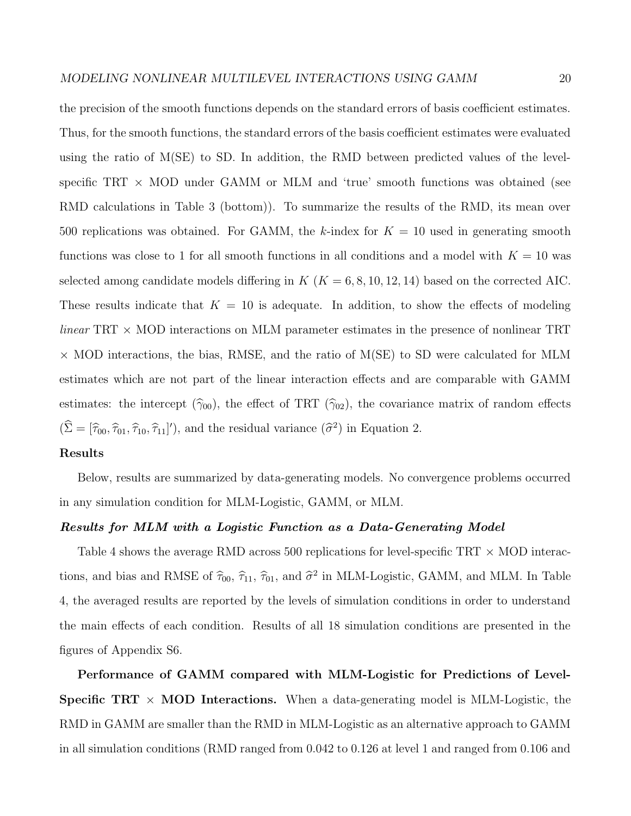the precision of the smooth functions depends on the standard errors of basis coefficient estimates. Thus, for the smooth functions, the standard errors of the basis coefficient estimates were evaluated using the ratio of  $M(SE)$  to SD. In addition, the RMD between predicted values of the levelspecific TRT *×* MOD under GAMM or MLM and 'true' smooth functions was obtained (see RMD calculations in Table 3 (bottom)). To summarize the results of the RMD, its mean over 500 replications was obtained. For GAMM, the *k*-index for  $K = 10$  used in generating smooth functions was close to 1 for all smooth functions in all conditions and a model with  $K = 10$  was selected among candidate models differing in  $K$  ( $K = 6, 8, 10, 12, 14$ ) based on the corrected AIC. These results indicate that  $K = 10$  is adequate. In addition, to show the effects of modeling *linear* TRT *×* MOD interactions on MLM parameter estimates in the presence of nonlinear TRT *×* MOD interactions, the bias, RMSE, and the ratio of M(SE) to SD were calculated for MLM estimates which are not part of the linear interaction effects and are comparable with GAMM estimates: the intercept  $(\hat{\gamma}_{00})$ , the effect of TRT  $(\hat{\gamma}_{02})$ , the covariance matrix of random effects  $(\Sigma = [\hat{\tau}_{00}, \hat{\tau}_{01}, \hat{\tau}_{10}, \hat{\tau}_{11}]')$ , and the residual variance  $(\hat{\sigma}^2)$  in Equation 2.

# **Results**

Below, results are summarized by data-generating models. No convergence problems occurred in any simulation condition for MLM-Logistic, GAMM, or MLM.

### *Results for MLM with a Logistic Function as a Data-Generating Model*

Table 4 shows the average RMD across 500 replications for level-specific TRT *×* MOD interactions, and bias and RMSE of  $\hat{\tau}_{00}$ ,  $\hat{\tau}_{11}$ ,  $\hat{\tau}_{01}$ , and  $\hat{\sigma}^2$  in MLM-Logistic, GAMM, and MLM. In Table 4, the averaged results are reported by the levels of simulation conditions in order to understand the main effects of each condition. Results of all 18 simulation conditions are presented in the figures of Appendix S6.

**Performance of GAMM compared with MLM-Logistic for Predictions of Level-Specific TRT**  $\times$  **MOD** Interactions. When a data-generating model is MLM-Logistic, the RMD in GAMM are smaller than the RMD in MLM-Logistic as an alternative approach to GAMM in all simulation conditions (RMD ranged from 0.042 to 0.126 at level 1 and ranged from 0.106 and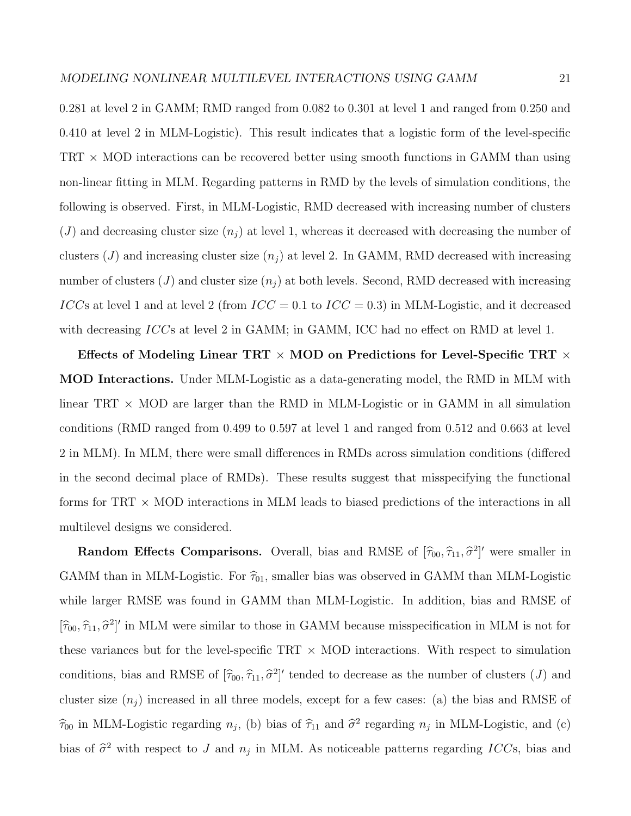0.281 at level 2 in GAMM; RMD ranged from 0.082 to 0.301 at level 1 and ranged from 0.250 and 0.410 at level 2 in MLM-Logistic). This result indicates that a logistic form of the level-specific TRT *×* MOD interactions can be recovered better using smooth functions in GAMM than using non-linear fitting in MLM. Regarding patterns in RMD by the levels of simulation conditions, the following is observed. First, in MLM-Logistic, RMD decreased with increasing number of clusters  $(J)$  and decreasing cluster size  $(n_i)$  at level 1, whereas it decreased with decreasing the number of clusters  $(J)$  and increasing cluster size  $(n_j)$  at level 2. In GAMM, RMD decreased with increasing number of clusters  $(J)$  and cluster size  $(n_i)$  at both levels. Second, RMD decreased with increasing *ICC*s at level 1 and at level 2 (from *ICC* = 0*.*1 to *ICC* = 0*.*3) in MLM-Logistic, and it decreased with decreasing *ICC*s at level 2 in GAMM; in GAMM, ICC had no effect on RMD at level 1.

**Effects of Modeling Linear TRT** *×* **MOD on Predictions for Level-Specific TRT** *×* **MOD Interactions.** Under MLM-Logistic as a data-generating model, the RMD in MLM with linear TRT *×* MOD are larger than the RMD in MLM-Logistic or in GAMM in all simulation conditions (RMD ranged from 0.499 to 0.597 at level 1 and ranged from 0.512 and 0.663 at level 2 in MLM). In MLM, there were small differences in RMDs across simulation conditions (differed in the second decimal place of RMDs). These results suggest that misspecifying the functional forms for TRT *×* MOD interactions in MLM leads to biased predictions of the interactions in all multilevel designs we considered.

**Random Effects Comparisons.** Overall, bias and RMSE of  $[\hat{\tau}_{00}, \hat{\tau}_{11}, \hat{\sigma}^2]'$  were smaller in GAMM than in MLM-Logistic. For  $\hat{\tau}_{01}$ , smaller bias was observed in GAMM than MLM-Logistic while larger RMSE was found in GAMM than MLM-Logistic. In addition, bias and RMSE of  $[\hat{\tau}_{00}, \hat{\tau}_{11}, \hat{\sigma}^2]'$  in MLM were similar to those in GAMM because misspecification in MLM is not for these variances but for the level-specific TRT *×* MOD interactions. With respect to simulation conditions, bias and RMSE of  $[\hat{\tau}_{00}, \hat{\tau}_{11}, \hat{\sigma}^2]'$  tended to decrease as the number of clusters (*J*) and cluster size  $(n_i)$  increased in all three models, except for a few cases: (a) the bias and RMSE of  $\hat{\tau}_{00}$  in MLM-Logistic regarding  $n_j$ , (b) bias of  $\hat{\tau}_{11}$  and  $\hat{\sigma}^2$  regarding  $n_j$  in MLM-Logistic, and (c) bias of  $\hat{\sigma}^2$  with respect to *J* and  $n_j$  in MLM. As noticeable patterns regarding *ICC*s, bias and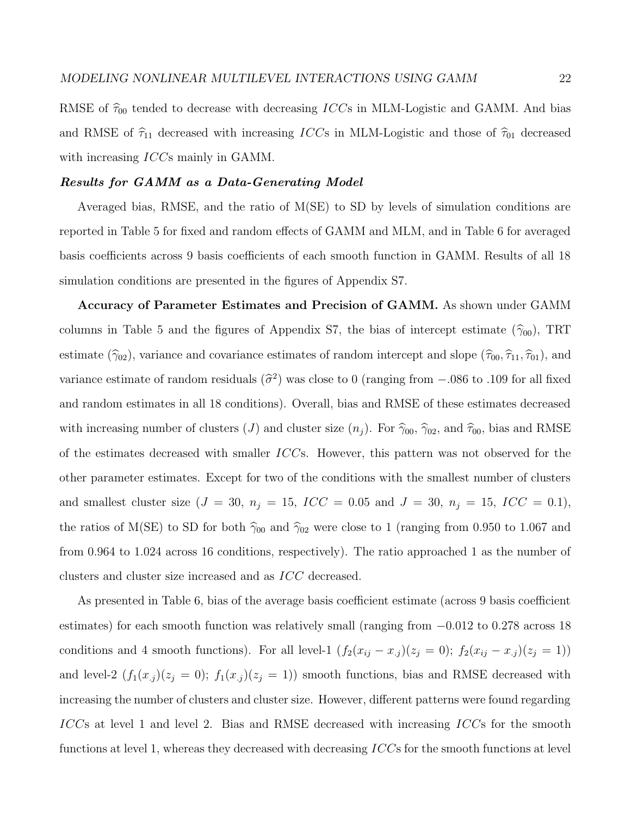### *Results for GAMM as a Data-Generating Model*

Averaged bias, RMSE, and the ratio of M(SE) to SD by levels of simulation conditions are reported in Table 5 for fixed and random effects of GAMM and MLM, and in Table 6 for averaged basis coefficients across 9 basis coefficients of each smooth function in GAMM. Results of all 18 simulation conditions are presented in the figures of Appendix S7.

**Accuracy of Parameter Estimates and Precision of GAMM.** As shown under GAMM columns in Table 5 and the figures of Appendix S7, the bias of intercept estimate ( $\hat{\gamma}_{00}$ ), TRT estimate ( $\hat{\gamma}_{02}$ ), variance and covariance estimates of random intercept and slope ( $\hat{\tau}_{00}, \hat{\tau}_{11}, \hat{\tau}_{01}$ ), and variance estimate of random residuals  $(\hat{\sigma}^2)$  was close to 0 (ranging from  $-.086$  to *.*109 for all fixed and random estimates in all 18 conditions). Overall, bias and RMSE of these estimates decreased with increasing number of clusters (*J*) and cluster size  $(n_j)$ . For  $\hat{\gamma}_{00}$ ,  $\hat{\gamma}_{02}$ , and  $\hat{\tau}_{00}$ , bias and RMSE of the estimates decreased with smaller *ICC*s. However, this pattern was not observed for the other parameter estimates. Except for two of the conditions with the smallest number of clusters and smallest cluster size ( $J = 30$ ,  $n_j = 15$ ,  $ICC = 0.05$  and  $J = 30$ ,  $n_j = 15$ ,  $ICC = 0.1$ ), the ratios of M(SE) to SD for both  $\hat{\gamma}_{00}$  and  $\hat{\gamma}_{02}$  were close to 1 (ranging from 0.950 to 1.067 and from 0.964 to 1.024 across 16 conditions, respectively). The ratio approached 1 as the number of clusters and cluster size increased and as *ICC* decreased.

As presented in Table 6, bias of the average basis coefficient estimate (across 9 basis coefficient estimates) for each smooth function was relatively small (ranging from *−*0*.*012 to 0*.*278 across 18 conditions and 4 smooth functions). For all level-1  $(f_2(x_{ij} - x_{.j})(z_j = 0); f_2(x_{ij} - x_{.j})(z_j = 1))$ and level-2  $(f_1(x_j)(z_j = 0); f_1(x_j)(z_j = 1))$  smooth functions, bias and RMSE decreased with increasing the number of clusters and cluster size. However, different patterns were found regarding *ICC*s at level 1 and level 2. Bias and RMSE decreased with increasing *ICC*s for the smooth functions at level 1, whereas they decreased with decreasing *ICC*s for the smooth functions at level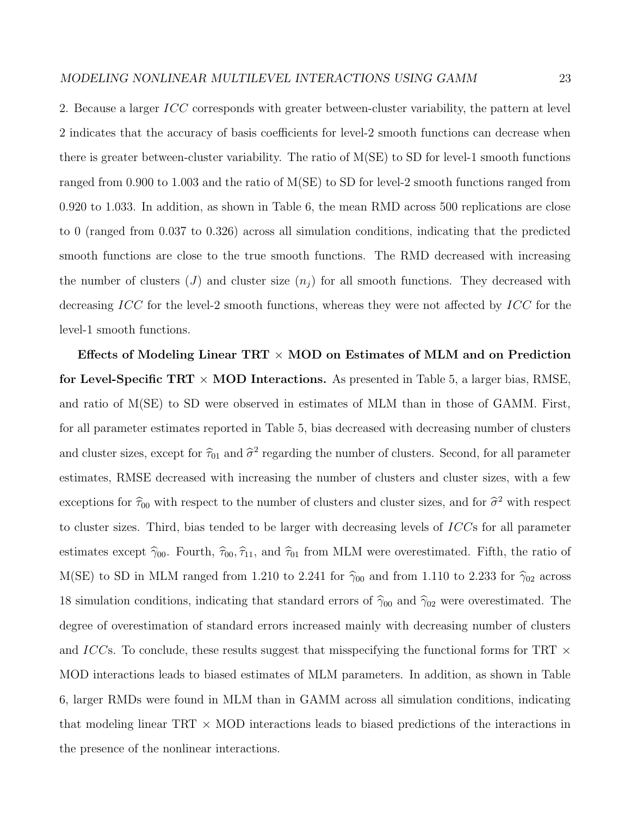2. Because a larger *ICC* corresponds with greater between-cluster variability, the pattern at level 2 indicates that the accuracy of basis coefficients for level-2 smooth functions can decrease when there is greater between-cluster variability. The ratio of M(SE) to SD for level-1 smooth functions ranged from 0*.*900 to 1*.*003 and the ratio of M(SE) to SD for level-2 smooth functions ranged from 0*.*920 to 1*.*033. In addition, as shown in Table 6, the mean RMD across 500 replications are close to 0 (ranged from 0*.*037 to 0*.*326) across all simulation conditions, indicating that the predicted smooth functions are close to the true smooth functions. The RMD decreased with increasing the number of clusters  $(J)$  and cluster size  $(n<sub>i</sub>)$  for all smooth functions. They decreased with decreasing *ICC* for the level-2 smooth functions, whereas they were not affected by *ICC* for the level-1 smooth functions.

**Effects of Modeling Linear TRT** *×* **MOD on Estimates of MLM and on Prediction for Level-Specific TRT** *×* **MOD Interactions.** As presented in Table 5, a larger bias, RMSE, and ratio of M(SE) to SD were observed in estimates of MLM than in those of GAMM. First, for all parameter estimates reported in Table 5, bias decreased with decreasing number of clusters and cluster sizes, except for  $\hat{\tau}_{01}$  and  $\hat{\sigma}^2$  regarding the number of clusters. Second, for all parameter estimates, RMSE decreased with increasing the number of clusters and cluster sizes, with a few exceptions for  $\hat{\tau}_{00}$  with respect to the number of clusters and cluster sizes, and for  $\hat{\sigma}^2$  with respect to cluster sizes. Third, bias tended to be larger with decreasing levels of *ICC*s for all parameter estimates except  $\hat{\gamma}_{00}$ . Fourth,  $\hat{\tau}_{00}, \hat{\tau}_{11}$ , and  $\hat{\tau}_{01}$  from MLM were overestimated. Fifth, the ratio of M(SE) to SD in MLM ranged from 1.210 to 2.241 for  $\hat{\gamma}_{00}$  and from 1.110 to 2.233 for  $\hat{\gamma}_{02}$  across 18 simulation conditions, indicating that standard errors of  $\hat{\gamma}_{00}$  and  $\hat{\gamma}_{02}$  were overestimated. The degree of overestimation of standard errors increased mainly with decreasing number of clusters and *ICC*s. To conclude, these results suggest that misspecifying the functional forms for TRT *×* MOD interactions leads to biased estimates of MLM parameters. In addition, as shown in Table 6, larger RMDs were found in MLM than in GAMM across all simulation conditions, indicating that modeling linear TRT *×* MOD interactions leads to biased predictions of the interactions in the presence of the nonlinear interactions.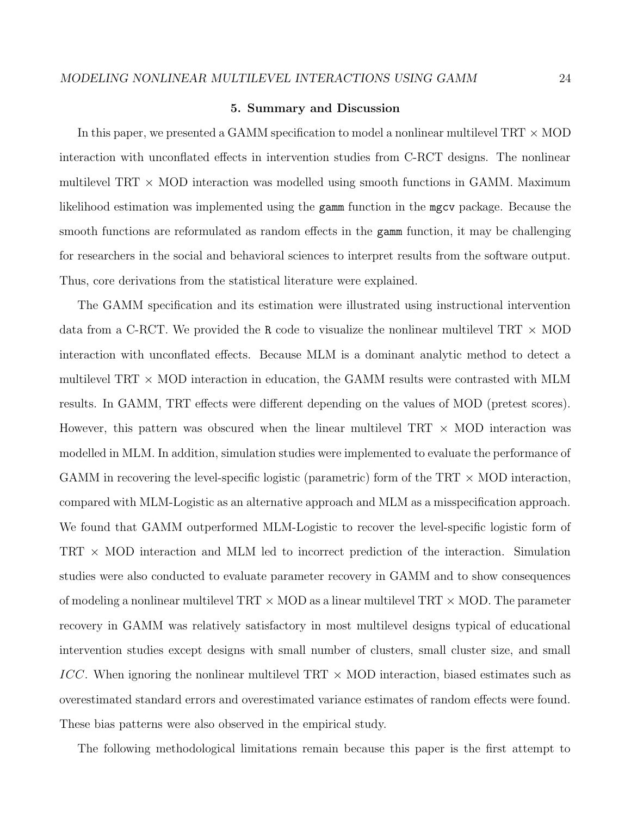### **5. Summary and Discussion**

In this paper, we presented a GAMM specification to model a nonlinear multilevel TRT *×* MOD interaction with unconflated effects in intervention studies from C-RCT designs. The nonlinear multilevel TRT *×* MOD interaction was modelled using smooth functions in GAMM. Maximum likelihood estimation was implemented using the gamm function in the mgcv package. Because the smooth functions are reformulated as random effects in the gamm function, it may be challenging for researchers in the social and behavioral sciences to interpret results from the software output. Thus, core derivations from the statistical literature were explained.

The GAMM specification and its estimation were illustrated using instructional intervention data from a C-RCT. We provided the R code to visualize the nonlinear multilevel TRT *×* MOD interaction with unconflated effects. Because MLM is a dominant analytic method to detect a multilevel TRT *×* MOD interaction in education, the GAMM results were contrasted with MLM results. In GAMM, TRT effects were different depending on the values of MOD (pretest scores). However, this pattern was obscured when the linear multilevel TRT *×* MOD interaction was modelled in MLM. In addition, simulation studies were implemented to evaluate the performance of GAMM in recovering the level-specific logistic (parametric) form of the TRT *×* MOD interaction, compared with MLM-Logistic as an alternative approach and MLM as a misspecification approach. We found that GAMM outperformed MLM-Logistic to recover the level-specific logistic form of TRT *×* MOD interaction and MLM led to incorrect prediction of the interaction. Simulation studies were also conducted to evaluate parameter recovery in GAMM and to show consequences of modeling a nonlinear multilevel TRT *×* MOD as a linear multilevel TRT *×* MOD. The parameter recovery in GAMM was relatively satisfactory in most multilevel designs typical of educational intervention studies except designs with small number of clusters, small cluster size, and small *ICC*. When ignoring the nonlinear multilevel TRT *×* MOD interaction, biased estimates such as overestimated standard errors and overestimated variance estimates of random effects were found. These bias patterns were also observed in the empirical study.

The following methodological limitations remain because this paper is the first attempt to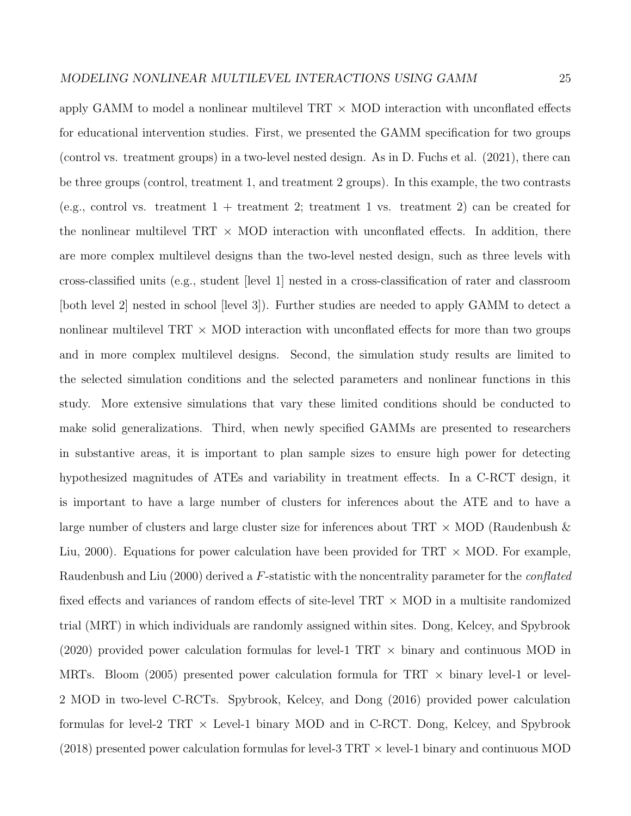apply GAMM to model a nonlinear multilevel TRT *×* MOD interaction with unconflated effects for educational intervention studies. First, we presented the GAMM specification for two groups (control vs. treatment groups) in a two-level nested design. As in D. Fuchs et al. (2021), there can be three groups (control, treatment 1, and treatment 2 groups). In this example, the two contrasts (e.g., control vs. treatment  $1 +$  treatment 2; treatment 1 vs. treatment 2) can be created for the nonlinear multilevel TRT  $\times$  MOD interaction with unconflated effects. In addition, there are more complex multilevel designs than the two-level nested design, such as three levels with cross-classified units (e.g., student [level 1] nested in a cross-classification of rater and classroom [both level 2] nested in school [level 3]). Further studies are needed to apply GAMM to detect a nonlinear multilevel TRT *×* MOD interaction with unconflated effects for more than two groups and in more complex multilevel designs. Second, the simulation study results are limited to the selected simulation conditions and the selected parameters and nonlinear functions in this study. More extensive simulations that vary these limited conditions should be conducted to make solid generalizations. Third, when newly specified GAMMs are presented to researchers in substantive areas, it is important to plan sample sizes to ensure high power for detecting hypothesized magnitudes of ATEs and variability in treatment effects. In a C-RCT design, it is important to have a large number of clusters for inferences about the ATE and to have a large number of clusters and large cluster size for inferences about TRT *×* MOD (Raudenbush & Liu, 2000). Equations for power calculation have been provided for TRT *×* MOD. For example, Raudenbush and Liu (2000) derived a *F*-statistic with the noncentrality parameter for the *conflated* fixed effects and variances of random effects of site-level TRT *×* MOD in a multisite randomized trial (MRT) in which individuals are randomly assigned within sites. Dong, Kelcey, and Spybrook (2020) provided power calculation formulas for level-1 TRT *×* binary and continuous MOD in MRTs. Bloom (2005) presented power calculation formula for TRT *×* binary level-1 or level-2 MOD in two-level C-RCTs. Spybrook, Kelcey, and Dong (2016) provided power calculation formulas for level-2 TRT *×* Level-1 binary MOD and in C-RCT. Dong, Kelcey, and Spybrook (2018) presented power calculation formulas for level-3 TRT *×* level-1 binary and continuous MOD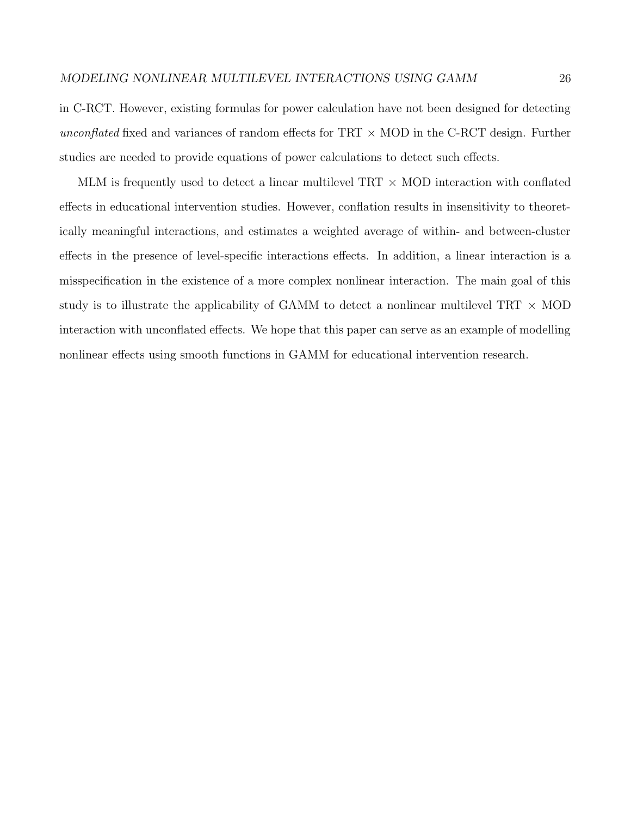in C-RCT. However, existing formulas for power calculation have not been designed for detecting *unconflated* fixed and variances of random effects for TRT *×* MOD in the C-RCT design. Further studies are needed to provide equations of power calculations to detect such effects.

MLM is frequently used to detect a linear multilevel TRT *×* MOD interaction with conflated effects in educational intervention studies. However, conflation results in insensitivity to theoretically meaningful interactions, and estimates a weighted average of within- and between-cluster effects in the presence of level-specific interactions effects. In addition, a linear interaction is a misspecification in the existence of a more complex nonlinear interaction. The main goal of this study is to illustrate the applicability of GAMM to detect a nonlinear multilevel TRT *×* MOD interaction with unconflated effects. We hope that this paper can serve as an example of modelling nonlinear effects using smooth functions in GAMM for educational intervention research.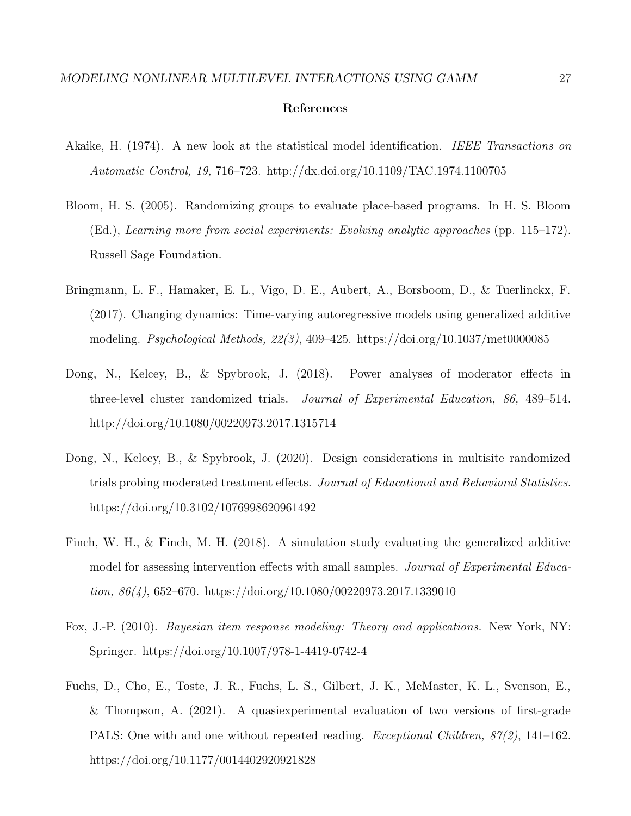#### **References**

- Akaike, H. (1974). A new look at the statistical model identification. *IEEE Transactions on Automatic Control, 19,* 716–723. http://dx.doi.org/10.1109/TAC.1974.1100705
- Bloom, H. S. (2005). Randomizing groups to evaluate place-based programs. In H. S. Bloom (Ed.), *Learning more from social experiments: Evolving analytic approaches* (pp. 115–172). Russell Sage Foundation.
- Bringmann, L. F., Hamaker, E. L., Vigo, D. E., Aubert, A., Borsboom, D., & Tuerlinckx, F. (2017). Changing dynamics: Time-varying autoregressive models using generalized additive modeling. *Psychological Methods, 22(3)*, 409–425. https://doi.org/10.1037/met0000085
- Dong, N., Kelcey, B., & Spybrook, J. (2018). Power analyses of moderator effects in three-level cluster randomized trials. *Journal of Experimental Education, 86,* 489–514. http://doi.org/10.1080/00220973.2017.1315714
- Dong, N., Kelcey, B., & Spybrook, J. (2020). Design considerations in multisite randomized trials probing moderated treatment effects. *Journal of Educational and Behavioral Statistics.* https://doi.org/10.3102/1076998620961492
- Finch, W. H., & Finch, M. H. (2018). A simulation study evaluating the generalized additive model for assessing intervention effects with small samples. *Journal of Experimental Education, 86(4)*, 652–670. https://doi.org/10.1080/00220973.2017.1339010
- Fox, J.-P. (2010). *Bayesian item response modeling: Theory and applications.* New York, NY: Springer. https://doi.org/10.1007/978-1-4419-0742-4
- Fuchs, D., Cho, E., Toste, J. R., Fuchs, L. S., Gilbert, J. K., McMaster, K. L., Svenson, E., & Thompson, A. (2021). A quasiexperimental evaluation of two versions of first-grade PALS: One with and one without repeated reading. *Exceptional Children, 87(2)*, 141–162. https://doi.org/10.1177/0014402920921828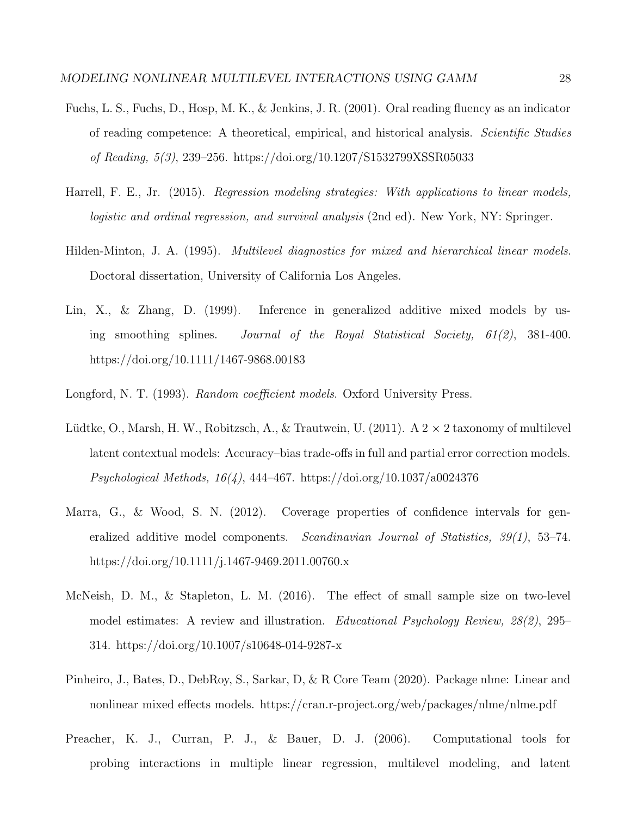- Fuchs, L. S., Fuchs, D., Hosp, M. K., & Jenkins, J. R. (2001). Oral reading fluency as an indicator of reading competence: A theoretical, empirical, and historical analysis. *Scientific Studies of Reading, 5(3)*, 239–256. https://doi.org/10.1207/S1532799XSSR05033
- Harrell, F. E., Jr. (2015). *Regression modeling strategies: With applications to linear models, logistic and ordinal regression, and survival analysis* (2nd ed). New York, NY: Springer.
- Hilden-Minton, J. A. (1995). *Multilevel diagnostics for mixed and hierarchical linear models*. Doctoral dissertation, University of California Los Angeles.
- Lin, X., & Zhang, D. (1999). Inference in generalized additive mixed models by using smoothing splines. *Journal of the Royal Statistical Society, 61(2)*, 381-400. https://doi.org/10.1111/1467-9868.00183
- Longford, N. T. (1993). *Random coefficient models*. Oxford University Press.
- Lüdtke, O., Marsh, H. W., Robitzsch, A., & Trautwein, U. (2011). A 2  $\times$  2 taxonomy of multilevel latent contextual models: Accuracy–bias trade-offs in full and partial error correction models. *Psychological Methods, 16(4)*, 444–467. https://doi.org/10.1037/a0024376
- Marra, G., & Wood, S. N. (2012). Coverage properties of confidence intervals for generalized additive model components. *Scandinavian Journal of Statistics, 39(1)*, 53–74. https://doi.org/10.1111/j.1467-9469.2011.00760.x
- McNeish, D. M., & Stapleton, L. M. (2016). The effect of small sample size on two-level model estimates: A review and illustration. *Educational Psychology Review, 28(2)*, 295– 314. https://doi.org/10.1007/s10648-014-9287-x
- Pinheiro, J., Bates, D., DebRoy, S., Sarkar, D, & R Core Team (2020). Package nlme: Linear and nonlinear mixed effects models. https://cran.r-project.org/web/packages/nlme/nlme.pdf
- Preacher, K. J., Curran, P. J., & Bauer, D. J. (2006). Computational tools for probing interactions in multiple linear regression, multilevel modeling, and latent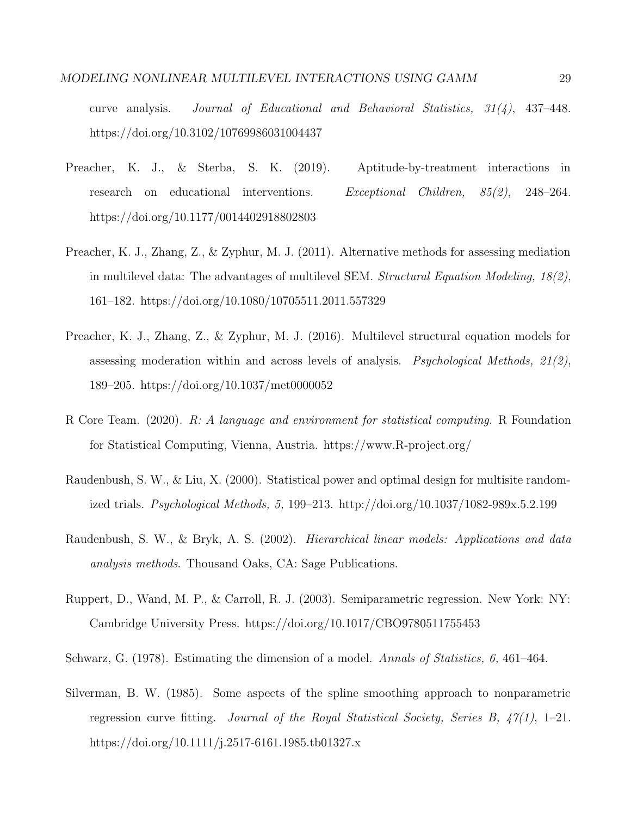curve analysis. *Journal of Educational and Behavioral Statistics, 31(4)*, 437–448. https://doi.org/10.3102/10769986031004437

- Preacher, K. J., & Sterba, S. K. (2019). Aptitude-by-treatment interactions in research on educational interventions. *Exceptional Children, 85(2)*, 248–264. https://doi.org/10.1177/0014402918802803
- Preacher, K. J., Zhang, Z., & Zyphur, M. J. (2011). Alternative methods for assessing mediation in multilevel data: The advantages of multilevel SEM. *Structural Equation Modeling, 18(2)*, 161–182. https://doi.org/10.1080/10705511.2011.557329
- Preacher, K. J., Zhang, Z., & Zyphur, M. J. (2016). Multilevel structural equation models for assessing moderation within and across levels of analysis. *Psychological Methods, 21(2)*, 189–205. https://doi.org/10.1037/met0000052
- R Core Team. (2020). *R: A language and environment for statistical computing*. R Foundation for Statistical Computing, Vienna, Austria. https://www.R-project.org/
- Raudenbush, S. W., & Liu, X. (2000). Statistical power and optimal design for multisite randomized trials. *Psychological Methods, 5,* 199–213. http://doi.org/10.1037/1082-989x.5.2.199
- Raudenbush, S. W., & Bryk, A. S. (2002). *Hierarchical linear models: Applications and data analysis methods*. Thousand Oaks, CA: Sage Publications.
- Ruppert, D., Wand, M. P., & Carroll, R. J. (2003). Semiparametric regression. New York: NY: Cambridge University Press. https://doi.org/10.1017/CBO9780511755453
- Schwarz, G. (1978). Estimating the dimension of a model. *Annals of Statistics, 6,* 461–464.
- Silverman, B. W. (1985). Some aspects of the spline smoothing approach to nonparametric regression curve fitting. *Journal of the Royal Statistical Society, Series B, 47(1)*, 1–21. https://doi.org/10.1111/j.2517-6161.1985.tb01327.x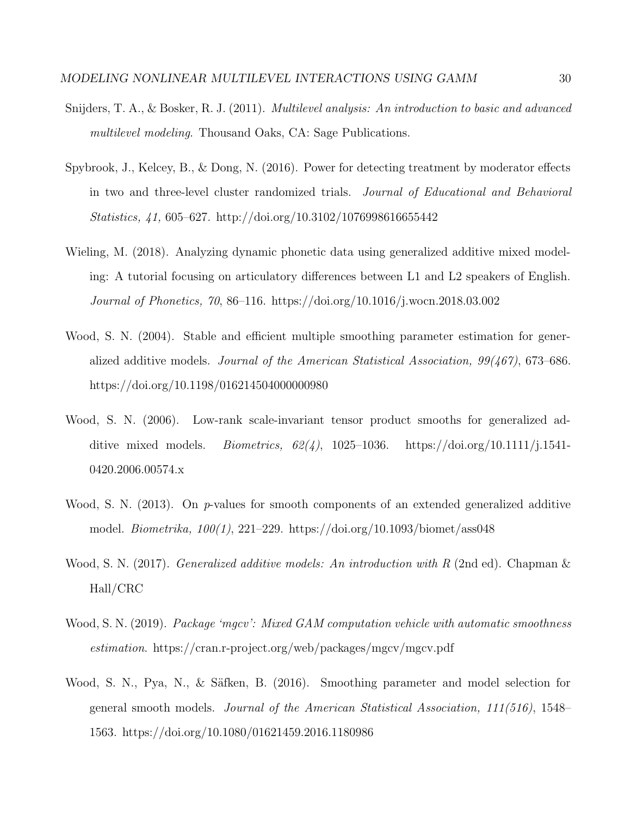- Snijders, T. A., & Bosker, R. J. (2011). *Multilevel analysis: An introduction to basic and advanced multilevel modeling*. Thousand Oaks, CA: Sage Publications.
- Spybrook, J., Kelcey, B., & Dong, N. (2016). Power for detecting treatment by moderator effects in two and three-level cluster randomized trials. *Journal of Educational and Behavioral Statistics, 41,* 605–627. http://doi.org/10.3102/1076998616655442
- Wieling, M. (2018). Analyzing dynamic phonetic data using generalized additive mixed modeling: A tutorial focusing on articulatory differences between L1 and L2 speakers of English. *Journal of Phonetics, 70*, 86–116. https://doi.org/10.1016/j.wocn.2018.03.002
- Wood, S. N. (2004). Stable and efficient multiple smoothing parameter estimation for generalized additive models. *Journal of the American Statistical Association, 99(467)*, 673–686. https://doi.org/10.1198/016214504000000980
- Wood, S. N. (2006). Low-rank scale-invariant tensor product smooths for generalized additive mixed models. *Biometrics, 62(4)*, 1025–1036. https://doi.org/10.1111/j.1541- 0420.2006.00574.x
- Wood, S. N. (2013). On *p*-values for smooth components of an extended generalized additive model. *Biometrika, 100(1)*, 221–229. https://doi.org/10.1093/biomet/ass048
- Wood, S. N. (2017). *Generalized additive models: An introduction with R* (2nd ed). Chapman & Hall/CRC
- Wood, S. N. (2019). *Package 'mgcv': Mixed GAM computation vehicle with automatic smoothness estimation*. https://cran.r-project.org/web/packages/mgcv/mgcv.pdf
- Wood, S. N., Pya, N., & Säfken, B. (2016). Smoothing parameter and model selection for general smooth models. *Journal of the American Statistical Association, 111(516)*, 1548– 1563. https://doi.org/10.1080/01621459.2016.1180986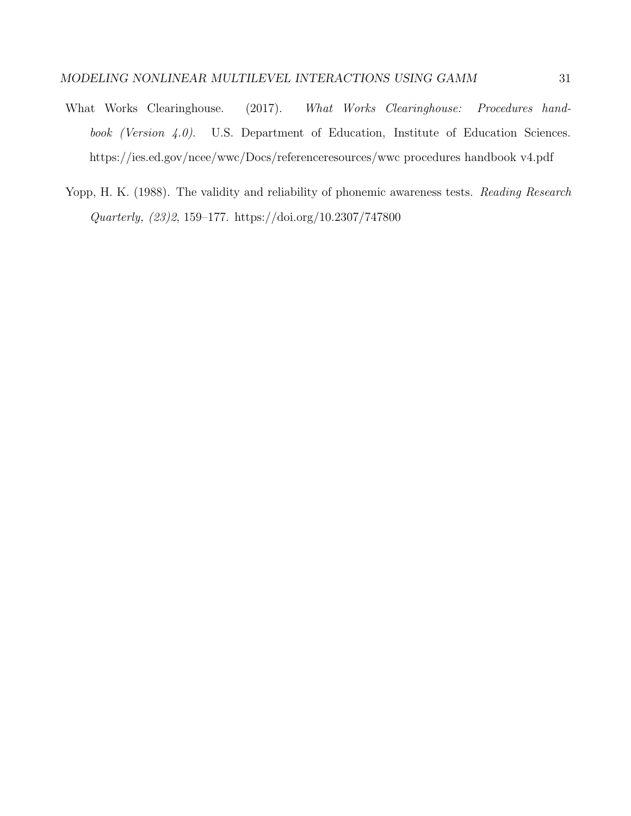- What Works Clearinghouse. (2017). *What Works Clearinghouse: Procedures handbook (Version 4.0)*. U.S. Department of Education, Institute of Education Sciences. https://ies.ed.gov/ncee/wwc/Docs/referenceresources/wwc procedures handbook v4.pdf
- Yopp, H. K. (1988). The validity and reliability of phonemic awareness tests. *Reading Research Quarterly, (23)2*, 159–177. https://doi.org/10.2307/747800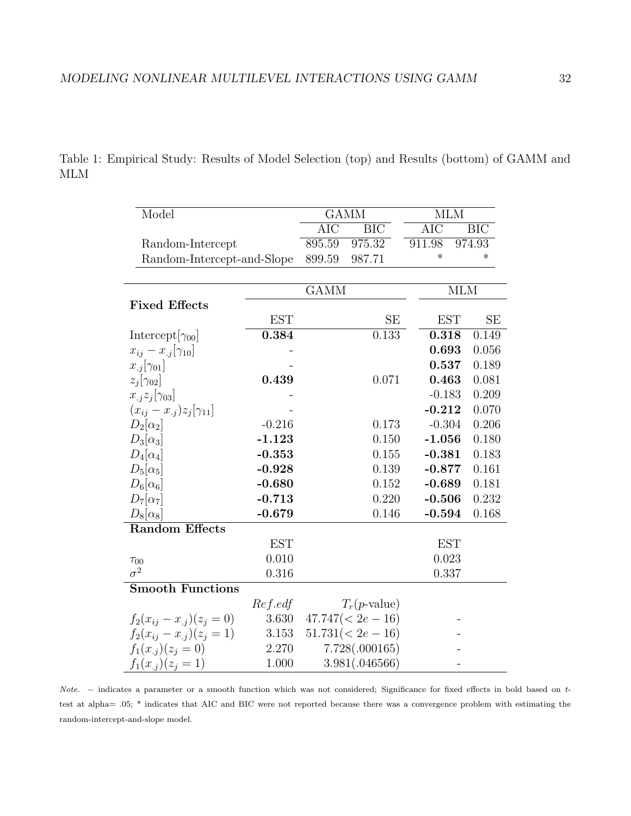| Model                               |            |                         | <b>GAMM</b>       | <b>MLM</b> |            |  |
|-------------------------------------|------------|-------------------------|-------------------|------------|------------|--|
|                                     |            | $\overline{\text{AIC}}$ | $\overline{BIC}$  | <b>AIC</b> | <b>BIC</b> |  |
| Random-Intercept                    |            |                         | 975.32            | 911.98     | 974.93     |  |
| Random-Intercept-and-Slope          |            | 899.59                  | 987.71            | $\ast$     | $\ast$     |  |
|                                     |            |                         |                   |            |            |  |
|                                     |            | <b>GAMM</b>             |                   |            | <b>MLM</b> |  |
| <b>Fixed Effects</b>                |            |                         |                   |            |            |  |
|                                     | <b>EST</b> |                         | <b>SE</b>         | <b>EST</b> | SE         |  |
| Intercept[ $\gamma_{00}$ ]          | 0.384      |                         | 0.133             | 0.318      | 0.149      |  |
| $x_{ij} - x_{.j}[\gamma_{10}]$      |            |                         |                   | 0.693      | 0.056      |  |
| $x_{.j}[\gamma_{01}]$               |            |                         |                   | 0.537      | 0.189      |  |
| $z_j[\gamma_{02}]$                  | 0.439      |                         | 0.071             | 0.463      | 0.081      |  |
| $x_{.j}z_j[\gamma_{03}]$            |            |                         |                   | $-0.183$   | 0.209      |  |
| $(x_{ij} - x_{.j})z_j[\gamma_{11}]$ |            |                         |                   | $-0.212$   | 0.070      |  |
| $D_2[\alpha_2]$                     | $-0.216$   |                         | 0.173             | $-0.304$   | 0.206      |  |
| $D_3[\alpha_3]$                     | $-1.123$   |                         | 0.150             | $-1.056$   | 0.180      |  |
| $D_4[\alpha_4]$                     | $-0.353$   |                         | 0.155             | $-0.381$   | 0.183      |  |
| $D_5[\alpha_5]$                     | $-0.928$   |                         | 0.139             | $-0.877$   | 0.161      |  |
| $D_6[\alpha_6]$                     | $-0.680$   |                         | 0.152             | $-0.689$   | 0.181      |  |
| $D_7[\alpha_7]$                     | $-0.713$   |                         | 0.220             | $-0.506$   | 0.232      |  |
| $D_8[\alpha_8]$                     | $-0.679$   |                         | 0.146             | $-0.594$   | 0.168      |  |
| <b>Random Effects</b>               |            |                         |                   |            |            |  |
|                                     | <b>EST</b> |                         |                   | <b>EST</b> |            |  |
| $\tau_{00}$                         | 0.010      |                         |                   | 0.023      |            |  |
| $\sigma^2$                          | 0.316      |                         |                   | 0.337      |            |  |
| <b>Smooth Functions</b>             |            |                         |                   |            |            |  |
|                                     | $Ref.$ edf |                         | $T_r(p$ -value)   |            |            |  |
| $f_2(x_{ij}-x_{.j})(z_j=0)$         | 3.630      |                         | $47.747(2e - 16)$ |            |            |  |
| $f_2(x_{ij} - x_{.j})(z_j = 1)$     | 3.153      |                         | $51.731(2e - 16)$ |            |            |  |
| $f_1(x_{.i})(z_i=0)$                | 2.270      |                         | 7.728(.000165)    |            |            |  |
| $f_1(x_{.j})(z_j = 1)$              | 1.000      |                         | 3.981(.046566)    |            |            |  |

Table 1: Empirical Study: Results of Model Selection (top) and Results (bottom) of GAMM and MLM

*Note. −* indicates a parameter or a smooth function which was not considered; Significance for fixed effects in bold based on *t*test at alpha= *.*05; \* indicates that AIC and BIC were not reported because there was a convergence problem with estimating the random-intercept-and-slope model.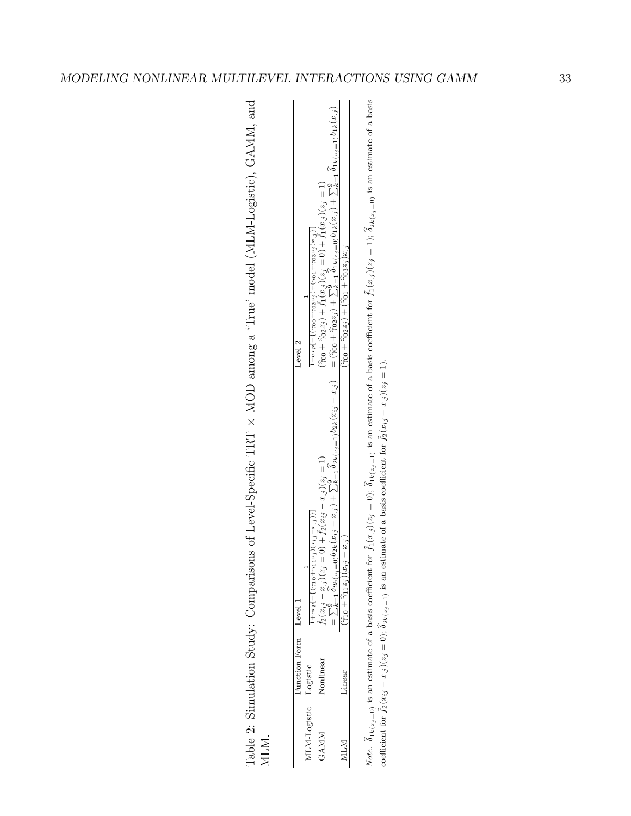| 化异戊二烯<br>Ī<br>j<br>ζ                                                                                                      |   |
|---------------------------------------------------------------------------------------------------------------------------|---|
| ) = 21 () = 21 () = 2<br>Ï                                                                                                |   |
| .<br>$\frac{1}{4}$                                                                                                        |   |
| TANAH ATT                                                                                                                 |   |
| l                                                                                                                         |   |
| and put is a surround<br>- 11-11-13                                                                                       |   |
| THE THE THE T<br>コンコン                                                                                                     |   |
|                                                                                                                           |   |
| $\frac{1}{2}$                                                                                                             |   |
| $\frac{2}{2}$<br>$\sim$ $\sim$ $\sim$ $\sim$                                                                              |   |
| Į<br>ו<br> <br> }<br> <br>ra<br>F                                                                                         |   |
| C and Co                                                                                                                  |   |
| I<br>:<br>İ                                                                                                               |   |
| 1、"好好了?"<br>$\ddot{\phantom{a}}$                                                                                          |   |
| ֧֧ׅׅ֪ׅׅ֪֦֖ׅ֪ׅׅ֪ׅׅׅׅ֚֚֚֚֚֚֚֚֚֚֚֚֚֚֚֚֚֚֚֚֚֝֝֝֝֝֝֝֝֝֬֝֬֝֝֝֝֬֝֬֝֝֬֝֝֬֝֝֝֝֝֝֬֝֝֬֝֝֝֝֝֝֝֝֝֝֝֝֝<br>֧֖֖֪֪֚֚֚֚֝֝֝֝֝֝֝֝֝֝֝֝֝֝֝֝֝֝֝֝ |   |
| Notes and the control of the control<br>$\frac{1}{2}$<br>-<br>-<br>-                                                      |   |
|                                                                                                                           |   |
| .<br>F                                                                                                                    | i |

| $-1.02$ $-1.1$<br>$(1, x, i) + \sum_{k=1}^{9} \delta_{1k(z_i=1)}$<br>$\langle \cdot$<br>$z_i =$<br>$21k(z_3=0)D_1k(x_3)$<br>$+$ t <sub>1</sub> (x,<br>$\frac{1}{2}$<br>$\sum_{k=1}^{9} \delta$<br>$r_1(x, i)$<br>$1+exp[-((\gamma_{00}+\gamma_{02}z_{j})-$<br>$=$ ( $\tilde{\gamma}$ 00 + $\tilde{\gamma}$ 022) + $\zeta$<br>$(\hat{\gamma}_{00} + \hat{\gamma}_{02} z_j) + f$ .<br>いんしょ<br>$\gamma$ + 00 $\gamma$<br>Level 2 |
|-------------------------------------------------------------------------------------------------------------------------------------------------------------------------------------------------------------------------------------------------------------------------------------------------------------------------------------------------------------------------------------------------------------------------------|
|                                                                                                                                                                                                                                                                                                                                                                                                                               |
| $\sum_{k=1}^{6} \frac{1}{2k(z_j=1)} 02k(x_{ij} - x_{.j})$<br>$1(z_i) = 1$ .<br>$= 0 + J_2(x_{ij} - x_{.ij})$<br>$_0b_{2k}(x_{ij}-x_{.j})+\sum$                                                                                                                                                                                                                                                                                |
|                                                                                                                                                                                                                                                                                                                                                                                                                               |

*Note.*  $\hat{\delta}_{1k}(z_{j}=0)$  is an estimate of a basis coefficient for  $\tilde{f}_1(x_j)(z_j=0)$ ;  $\hat{\delta}_{1k}(z_{j}=1)$  is an estimate of a basis coefficient for  $\tilde{f}_1(x_j)(z_j=1)$ ;  $\hat{\delta}_{2k}(z_{j}=0)$  is an estimate of a basis **δ**<sub>1</sub>*k*(*z*<sub>j</sub>=0) is an estimate of a basis coefficient for  $\tilde{f}$ <sub>1</sub>(*x*<sub>*j*</sub>)(*z*<sub>j</sub> = 0); **δ**<sub>1</sub>*k*(*z*<sub>j</sub>=1) is an estimate of a basis coefficient for  $\tilde{f}_1(x_j)(z_j = 1)$ ;  $\delta_{2k(z_j=0)}$  is an estimate of a basis coefficient for  $\tilde{f}_2(x_{ij}$  $(x_j)(z_j=0);$  $\tilde{\delta}_{2k}(z_j=1)$  is an estimate of a basis coefficient for  $\tilde{f}_2(x_{ij}$  $(x_j)(z_j=1).$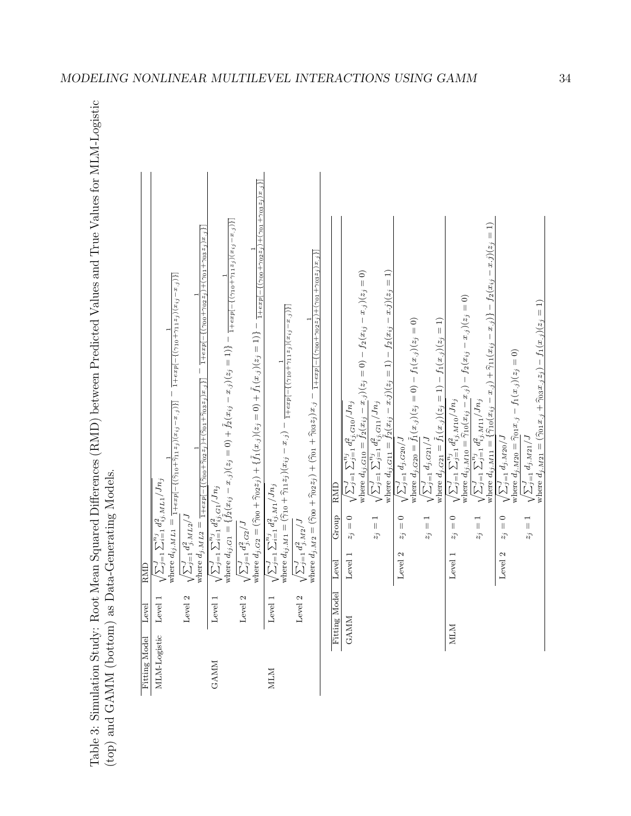Table 3: Simulation Study: Root Mean Squared Differences (RMD) between Predicted Values and True Values for MLM-Logistic (top) and GAMM (bottom) as Data-Generating Models.

|               | Level   | RMD                                                                                                                                                                                                                                                                                                                                                                                             |
|---------------|---------|-------------------------------------------------------------------------------------------------------------------------------------------------------------------------------------------------------------------------------------------------------------------------------------------------------------------------------------------------------------------------------------------------|
| MLM-Logistic  | Level 1 | $\frac{1 + exp[-\{(\gamma_{10} + \gamma_{11}z_j)(x_{ij} - x_{.j})\}]}{1 + exp[-\{(\gamma_{10} + \gamma_{11}z_j)(x_{ij} - x_{.j})\}]}$<br>where $d_{ij}$ . $ML1 = \frac{1 + exp[-\{(\hat{\gamma}_{10} + \hat{\gamma}_{11} z_j)(x_{ij} - x_{.j})\}]}{1 + exp[-\{(\hat{\gamma}_{10} + \hat{\gamma}_{11} z_j)(x_{ij} - x_{.j})\}]}$<br>$\sqrt{\sum_{j=1}^{J} \sum_{i=1}^{n_j} d_{ij,MLL}^2 / Jn_j}$ |
|               | Level 2 | $\frac{1 + exp[-\{(\widehat{\gamma}_{00} + \widehat{\gamma}_{02} z_j ) + (\widehat{\gamma}_{01} + \widehat{\gamma}_{03} z_j )x_{\cdot j}\}] - 1 + exp[-\{(\gamma_{00} + \gamma_{02} z_j ) + (\gamma_{01} + \gamma_{03} z_j )x_{\cdot j}\}] }$<br>$\frac{J}{j=1} d_{j,ML2}^2 / J$<br>where $d_{j.ML2}$ =<br>$\sqrt{\sum_{j=}^J}$                                                                 |
| <b>GANM</b>   | Level 1 | where $d_{ij,G1} = \{\tilde{f}_2(x_{ij} - x_{.j})(z_j = 0) + \tilde{f}_2(x_{ij} - x_{.j})(z_j = 1)\} - \frac{1}{1 + exp[-\{(\gamma_{10} + \gamma_{11} z_j)(x_{ij} - x_{.j})\}]}$<br>$\sqrt{\sum_{j=1}^J\sum_{i=1}^{n_j}d_{ij,G1}^2/Jn_j}$                                                                                                                                                       |
|               | Level 2 | where $d_j$ , $c_2 = (\hat{\gamma}_{00} + \hat{\gamma}_{02}z_j) + \{\tilde{f}_1(x_j)(z_j = 0) + \tilde{f}_1(x_j)(z_j = 1)\} - \frac{1}{1 + exp[-\{(\gamma_{00} + \gamma_{02}z_j) + (\gamma_{01} + \gamma_{03}z_j)x_j\}]}$<br>$\sqrt{\sum_{j=1}^J d_{j.G2}^2}/J$                                                                                                                                 |
| <b>NILM</b>   | Level 1 | where $d_{ij,M1} = (\hat{\gamma}_{10} + \hat{\gamma}_{11}z_j)(x_{ij} - x_{.j}) - \frac{1}{1 + exp[-((\gamma_{10} + \gamma_{11}z_j)(x_{ij} - x_{.j}))]}$<br>$\sqrt{\sum_{j=1}^J\sum_{i=1}^{n_j}d_{ij,M1}^2/Jn_j}$                                                                                                                                                                                |
|               | Level 2 | where $d_{j,M2} = (\tilde{\gamma}_{00} + \tilde{\gamma}_{02}z_j) + (\tilde{\gamma}_{01} + \tilde{\gamma}_{03}z_j)x_j - \frac{1}{1 + exp[-(\gamma_{00} + \gamma_{02}z_j) + (\gamma_{01} + \gamma_{03}z_j)x_j]}]$<br>$\sqrt{\sum_{j=1}^{J} d_{j.M2}^2}/J$                                                                                                                                         |
| Fitting Model |         | RMD<br>Group<br>Level                                                                                                                                                                                                                                                                                                                                                                           |
| GAMM          |         | $\sqrt{\sum_{j=1}^J\sum_{j=1}^{n_j}d_{ij.G10}^2}/Jn_j$<br>$z_j=0$<br>Level 1                                                                                                                                                                                                                                                                                                                    |
|               |         | where $d_{ij.G10} = \tilde{f}_2(x_{ij} - x_{.j})(z_j = 0) - f_2(x_{ij} - x_{.j})(z_j = 0)$                                                                                                                                                                                                                                                                                                      |
|               |         | $\sqrt{\sum_{j=1}^{J} \sum_{j=1}^{n_j} d_{ij,\, \rm G11}^{2}/J n_j}$<br>$z_j=1$                                                                                                                                                                                                                                                                                                                 |
|               |         | where $d_{ij.G11} = \tilde{f}_2(x_{ij} - x_i)(z_j = 1) - f_2(x_{ij} - x_i)(z_j = 1)$                                                                                                                                                                                                                                                                                                            |
|               |         | $\sqrt{\sum_{j=1}^J d_j.c_{20}/J}$<br>$z_j=0$<br>Level 2                                                                                                                                                                                                                                                                                                                                        |
|               |         | where $d_{j,G20} = f_1(x_{.j})(z_j = 0) - f_1(x_{.j})(z_j = 0)$                                                                                                                                                                                                                                                                                                                                 |
|               |         | $\sqrt{\sum_{j=1}^J d_{j.G21}/J}$<br>$z_j=1$                                                                                                                                                                                                                                                                                                                                                    |
| <b>NTM</b>    |         | where $d_{j,G21} = \tilde{f}_1(x_{.j})(z_j = 1) - f_1(x_{.j})(z_j = 1)$<br>$\sqrt{\sum_{j=1}^{J} \sum_{j=1}^{n_j} d_{ij,M10}^2 / J n_j}$<br>$\overline{\phantom{0}}$<br>$z_j$<br>Level 1                                                                                                                                                                                                        |
|               |         | where $d_{ij,M10} = \hat{\gamma}_{10}(x_{ij} - x_{.j}) - f_2(x_{ij} - x_{.j})(z_j = 0)$                                                                                                                                                                                                                                                                                                         |
|               |         | $\sqrt{\sum_{j=1}^{J} \sum_{j=1}^{n_j} d_{ij,M11}^2 / J n_j}$<br>$z_j=1$                                                                                                                                                                                                                                                                                                                        |
|               |         | $\begin{array}{c}\n\overline{1} \\ \end{array}$<br>where $d_{ij}$ , $_{M11}$ = { $\hat{\gamma}_{10}(x_{ij} - x_{.j}) + \hat{\gamma}_{11}(x_{ij} - x_{.j})$ } - $f_2(x_{ij} - x_{.j})(z_j)$                                                                                                                                                                                                      |
|               |         | $\sqrt{\sum_{j=1}^J d_{j.M20}/J}$<br>$\begin{matrix} 0 \\ 0 \end{matrix}$<br>$\tilde{z}_j$<br>Level 2                                                                                                                                                                                                                                                                                           |
|               |         | where $d_{j,M20} = \hat{\gamma}_{01} x_{.j} - f_1(x_{.j})(z_j = 0)$                                                                                                                                                                                                                                                                                                                             |
|               |         | where $d_{j,M21} = (\hat{\gamma}_{01}x_{.j} + \hat{\gamma}_{03}x_{.j}z_{j}) - f_1(x_{.j})(z_{j} = 1)$<br>$\sqrt{\sum_{j=1}^J d_{j. M 21}/J}$<br>$z_j=1$                                                                                                                                                                                                                                         |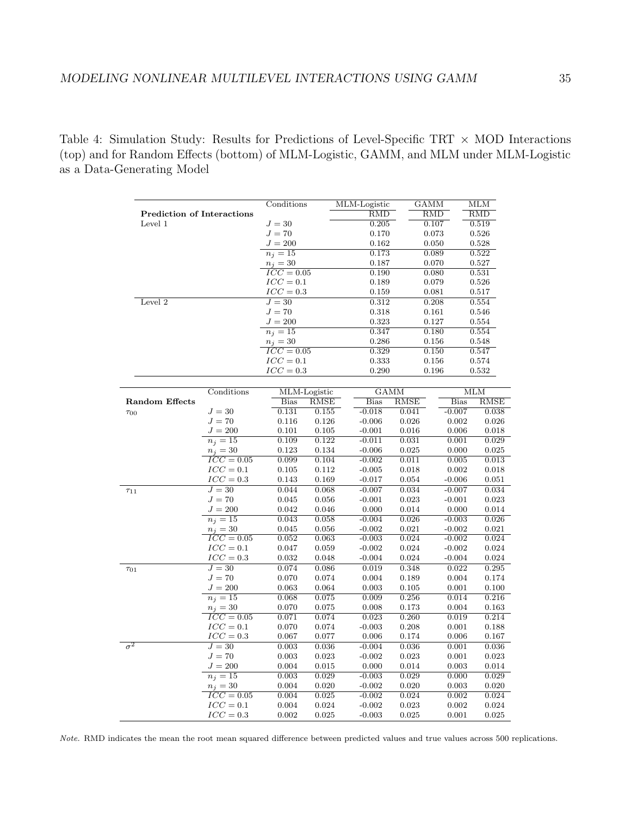Table 4: Simulation Study: Results for Predictions of Level-Specific TRT *×* MOD Interactions (top) and for Random Effects (bottom) of MLM-Logistic, GAMM, and MLM under MLM-Logistic as a Data-Generating Model

|                                              |                         | Conditions              |             | MLM-Logistic            |             | <b>GAMM</b> | MLМ         |  |
|----------------------------------------------|-------------------------|-------------------------|-------------|-------------------------|-------------|-------------|-------------|--|
| <b>Prediction of Interactions</b><br>Level 1 |                         |                         |             | $\overline{\text{RMD}}$ |             | <b>RMD</b>  | <b>RMD</b>  |  |
|                                              |                         | $J=30$                  |             | 0.205                   |             | 0.107       | 0.519       |  |
|                                              |                         | $J=70$                  |             | 0.170                   |             | 0.073       | 0.526       |  |
|                                              |                         | $J = 200$               |             | 0.162                   |             | 0.050       | 0.528       |  |
|                                              |                         | $\overline{n_j=15}$     |             | 0.173                   |             | 0.089       | 0.522       |  |
|                                              |                         | $n_i = 30$              |             | 0.187                   |             | 0.070       | 0.527       |  |
|                                              |                         | $\overline{ICC} = 0.05$ |             | 0.190                   |             | 0.080       | 0.531       |  |
|                                              |                         | $ICC=0.1$               |             | 0.189                   |             | 0.079       | 0.526       |  |
|                                              |                         | $ICC=0.3$               |             | 0.159                   |             | 0.081       | 0.517       |  |
| Level 2                                      |                         | $J=30$                  |             | 0.312                   |             | 0.208       | 0.554       |  |
|                                              |                         | $J=70$                  |             | 0.318                   |             | 0.161       | 0.546       |  |
|                                              |                         | $J = 200$               |             | 0.323                   |             | 0.127       | 0.554       |  |
|                                              |                         | $\overline{n_j=15}$     |             | 0.347                   |             | 0.180       | 0.554       |  |
|                                              |                         | $n_j=30$                |             | 0.286                   |             | 0.156       | 0.548       |  |
|                                              |                         | $ICC=0.05$              |             | 0.329                   |             | 0.150       | 0.547       |  |
|                                              |                         | $ICC=0.1$               |             | 0.333                   |             | 0.156       | 0.574       |  |
|                                              |                         | $ICC=0.3$               |             | 0.290                   |             | 0.196       | 0.532       |  |
|                                              |                         |                         |             |                         |             |             |             |  |
|                                              | Conditions              | MLM-Logistic            |             | <b>GAMM</b>             |             |             | <b>MLM</b>  |  |
| <b>Random Effects</b>                        |                         | <b>Bias</b>             | <b>RMSE</b> | <b>Bias</b>             | <b>RMSE</b> | <b>Bias</b> | <b>RMSE</b> |  |
| $\tau_{00}$                                  | $J=30$                  | 0.131                   | 0.155       | $-0.018$                | 0.041       | $-0.007$    | 0.038       |  |
|                                              | $J=70$                  | 0.116                   | 0.126       | $-0.006$                | 0.026       | 0.002       | 0.026       |  |
|                                              | $J = 200$               | 0.101                   | 0.105       | $-0.001$                | 0.016       | 0.006       | 0.018       |  |
|                                              | $n_i = 15$              | 0.109                   | 0.122       | $-0.011$                | 0.031       | 0.001       | 0.029       |  |
|                                              | $n_i = 30$              | 0.123                   | 0.134       | $-0.006$                | 0.025       | 0.000       | 0.025       |  |
|                                              | $\overline{ICC} = 0.05$ | 0.099                   | 0.104       | $-0.002$                | 0.011       | 0.005       | 0.013       |  |
|                                              | $ICC=0.1$               | 0.105                   | 0.112       | $-0.005$                | 0.018       | 0.002       | 0.018       |  |
|                                              | $ICC=0.3$               | 0.143                   | 0.169       | $-0.017$                | 0.054       | $-0.006$    | 0.051       |  |
| $\tau_{11}$                                  | $J=30$                  | 0.044                   | 0.068       | $-0.007$                | 0.034       | $-0.007$    | 0.034       |  |
|                                              | $J=70$                  | 0.045                   | 0.056       | $-0.001$                | 0.023       | $-0.001$    | 0.023       |  |
|                                              | $J = 200$               | 0.042                   | 0.046       | 0.000                   | 0.014       | 0.000       | 0.014       |  |
|                                              | $n_j = 15$              | 0.043                   | 0.058       | $-0.004$                | 0.026       | $-0.003$    | 0.026       |  |
|                                              | $n_i = 30$              | 0.045                   | 0.056       | $-0.002$                | 0.021       | $-0.002$    | 0.021       |  |
|                                              | $ICC=0.05$              | 0.052                   | 0.063       | $-0.003$                | 0.024       | $-0.002$    | 0.024       |  |
|                                              | $ICC=0.1$               | 0.047                   | 0.059       | $-0.002$                | 0.024       | $-0.002$    | 0.024       |  |
|                                              | $ICC=0.3$               | 0.032                   | 0.048       | $-0.004$                | 0.024       | $-0.004$    | 0.024       |  |
| $\tau_{01}$                                  | $J=30$                  | 0.074                   | 0.086       | 0.019                   | 0.348       | 0.022       | 0.295       |  |
|                                              | $J=70$                  | 0.070                   | 0.074       | 0.004                   | 0.189       | 0.004       | 0.174       |  |
|                                              | $J = 200$               | 0.063                   | 0.064       | 0.003                   | 0.105       | 0.001       | 0.100       |  |
|                                              | $n_j=15$                | 0.068                   | 0.075       | 0.009                   | 0.256       | 0.014       | 0.216       |  |
|                                              | $n_i = 30$              | 0.070                   | 0.075       | 0.008                   | 0.173       | 0.004       | 0.163       |  |
|                                              | $ICC=0.05$              | 0.071                   | 0.074       | 0.023                   | 0.260       | 0.019       | 0.214       |  |
|                                              | $ICC=0.1$               | 0.070                   | 0.074       | $-0.003$                | 0.208       | 0.001       | 0.188       |  |
|                                              | $ICC=0.3$               | 0.067                   | 0.077       | 0.006                   | 0.174       | 0.006       | 0.167       |  |
| $\sigma^2$                                   | $J=30$                  | 0.003                   | 0.036       | $-0.004$                | 0.036       | 0.001       | 0.036       |  |
|                                              | $J=70$                  | 0.003                   | 0.023       | $-0.002$                | 0.023       | 0.001       | 0.023       |  |
|                                              | $J=200\,$               | 0.004                   | 0.015       | 0.000                   | 0.014       | 0.003       | 0.014       |  |
|                                              | $n_j=15$                | 0.003                   | 0.029       | $-0.003$                | 0.029       | 0.000       | 0.029       |  |
|                                              | $n_j=30$                | 0.004                   | 0.020       | $-0.002$                | 0.020       | 0.003       | 0.020       |  |
|                                              | $ICC=0.05$              | 0.004                   | 0.025       | $-0.002$                | 0.024       | 0.002       | 0.024       |  |
|                                              | $ICC=0.1$               | 0.004                   | 0.024       | $-0.002$                | 0.023       | 0.002       | 0.024       |  |
|                                              | $ICC=0.3$               | 0.002                   | 0.025       | $-0.003$                | 0.025       | 0.001       | 0.025       |  |
|                                              |                         |                         |             |                         |             |             |             |  |

*Note.* RMD indicates the mean the root mean squared difference between predicted values and true values across 500 replications.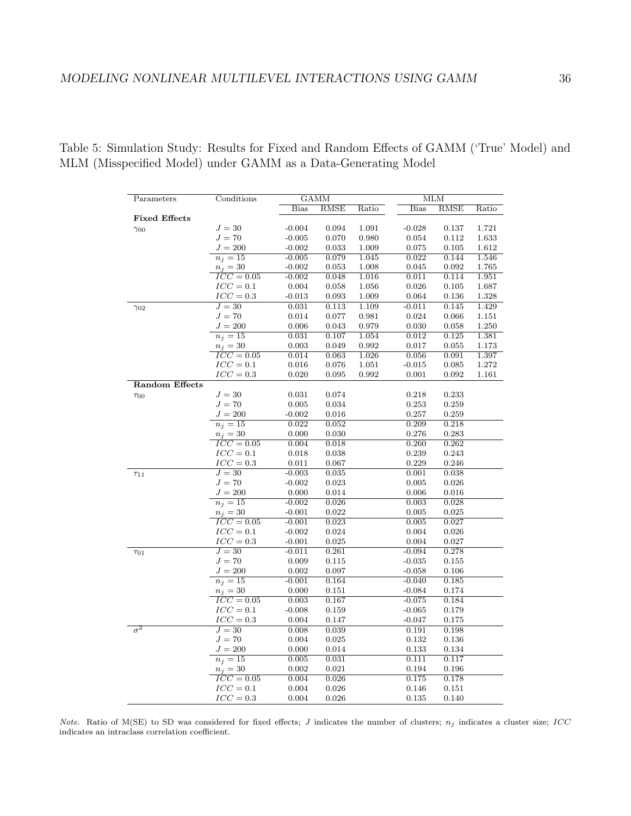Table 5: Simulation Study: Results for Fixed and Random Effects of GAMM ('True' Model) and MLM (Misspecified Model) under GAMM as a Data-Generating Model

| Parameters            | Conditions              |                   | <b>GAMM</b>    |             |                      | MLM            |           |  |
|-----------------------|-------------------------|-------------------|----------------|-------------|----------------------|----------------|-----------|--|
|                       |                         | <b>Bias</b>       | RMSE           | Ratio       | <b>Bias</b>          | <b>RMSE</b>    | Ratio     |  |
| <b>Fixed Effects</b>  |                         |                   |                |             |                      |                |           |  |
| $\gamma_{00}$         | $J=30$                  | $-0.004$          | 0.094          | 1.091       | $-0.028$             | 0.137          | 1.721     |  |
|                       | $J=70$                  | $-0.005$          | 0.070          | 0.980       | 0.054                | 0.112          | 1.633     |  |
|                       | $J=200$                 | $-0.002$          | 0.033          | 1.009       | 0.075                | 0.105          | 1.612     |  |
|                       | $\overline{n_j=15}$     | $-0.005$          | 0.079          | 1.045       | 0.022                | 0.144          | 1.546     |  |
|                       | $n_j=30$                | $-0.002$          | 0.053          | 1.008       | 0.045                | 0.092          | 1.765     |  |
|                       | $\overline{ICC} = 0.05$ | $-0.002$          | 0.048          | 1.016       | 0.011                | 0.114          | 1.951     |  |
|                       | $ICC=0.1$               | 0.004             | 0.058          | 1.056       | 0.026                | 0.105          | 1.687     |  |
|                       | $ICC=0.3$               | $-0.013$          | 0.093          | 1.009       | 0.064                | 0.136          | 1.328     |  |
| $\gamma_{02}$         | $J=30$                  | 0.031             | 0.113          | 1.109       | $-0.011$             | 0.145          | 1.429     |  |
|                       | $J=70$                  | 0.014             | 0.077          | 0.981       | 0.024                | 0.066          | 1.151     |  |
|                       | $J = 200$               | 0.006             | 0.043          | 0.979       | 0.030                | 0.058          | $1.250\,$ |  |
|                       | $\overline{n_j=15}$     | 0.031             | 0.107          | 1.054       | 0.012                | 0.125          | 1.381     |  |
|                       | $n_j=30$                | 0.003             | 0.049          | $\,0.992\,$ | 0.017                | 0.055          | 1.173     |  |
|                       | $ICC=0.05$              | 0.014             | 0.063          | 1.026       | 0.056                | 0.091          | 1.397     |  |
|                       | $ICC=0.1$               | 0.016             | $0.076\,$      | 1.051       | $-0.015$             | 0.085          | 1.272     |  |
|                       | $ICC=0.3$               | 0.020             | 0.095          | 0.992       | 0.001                | 0.092          | 1.161     |  |
| <b>Random Effects</b> |                         |                   |                |             |                      |                |           |  |
| $\tau_{00}$           | $J=30$                  | 0.031             | 0.074          |             | 0.218                | 0.233          |           |  |
|                       | $J=70$                  | 0.005             | 0.034          |             | 0.253                | 0.259          |           |  |
|                       | $J = 200$               | $-0.002$          | 0.016          |             | 0.257                | 0.259          |           |  |
|                       | $\overline{n_j=15}$     | 0.022             | 0.052          |             | 0.209                | 0.218          |           |  |
|                       | $n_i = 30$              | 0.000             | 0.030          |             | 0.276                | 0.283          |           |  |
|                       | $ICC=0.05$              | 0.004             | 0.018          |             | 0.260                | 0.262          |           |  |
|                       | $ICC=0.1$               | 0.018             | 0.038          |             | 0.239                | 0.243          |           |  |
|                       | $ICC=0.3$               | 0.011             | 0.067          |             | 0.229                | 0.246          |           |  |
| $\tau_{11}$           | $J=30$                  | $-0.003$          | 0.035          |             | 0.001                | 0.038          |           |  |
|                       | $J=70$                  | $-0.002$          | 0.023          |             | 0.005                | 0.026          |           |  |
|                       | $J = 200$               | 0.000             | 0.014          |             | 0.006                | 0.016          |           |  |
|                       | $\overline{n_j=15}$     | $-0.002$          | 0.026          |             | 0.003                | 0.028          |           |  |
|                       | $n_j = 30$              | $-0.001$          | 0.022          |             | 0.005                | 0.025          |           |  |
|                       | $ICC=0.05$              | $-0.001$          | 0.023          |             | 0.005                | 0.027          |           |  |
|                       | $ICC=0.1$               | $-0.002$          | 0.024          |             | 0.004                | 0.026          |           |  |
|                       | $ICC=0.3$               | $-0.001$          | 0.025          |             | 0.004                | 0.027          |           |  |
| $\tau_{01}$           | $J=30$                  | $-0.011$          | 0.261          |             | $-0.094$             | 0.278          |           |  |
|                       | $J=70$                  | 0.009             | 0.115          |             | $-0.035$             | 0.155          |           |  |
|                       | $J = 200$               | 0.002<br>$-0.001$ | 0.097<br>0.164 |             | $-0.058$<br>$-0.040$ | 0.106<br>0.185 |           |  |
|                       | $\overline{n_j=15}$     | 0.000             | 0.151          |             |                      | 0.174          |           |  |
|                       | $n_j = 30$              |                   |                |             | $-0.084$             |                |           |  |
|                       | $ICC=0.05$              | 0.003             | 0.167          |             | $-0.075$             | 0.184          |           |  |
|                       | $ICC=0.1$<br>$ICC=0.3$  | $-0.008$<br>0.004 | 0.159<br>0.147 |             | $-0.065$<br>$-0.047$ | 0.179<br>0.175 |           |  |
| $\sigma^2$            | $J=30$                  | 0.008             | 0.039          |             |                      | 0.198          |           |  |
|                       | $J=70\,$                | 0.004             |                |             | 0.191                |                |           |  |
|                       | $J = 200$               | 0.000             | 0.025<br>0.014 |             | 0.132<br>0.133       | 0.136<br>0.134 |           |  |
|                       | $n_j=15$                | 0.005             | 0.031          |             | 0.111                | 0.117          |           |  |
|                       | $n_j=30$                | 0.002             | 0.021          |             | 0.194                | 0.196          |           |  |
|                       | $\overline{ICC} = 0.05$ | 0.004             | 0.026          |             | 0.175                | 0.178          |           |  |
|                       | $ICC=0.1$               | 0.004             | 0.026          |             | 0.146                | 0.151          |           |  |
|                       | $ICC=0.3$               | 0.004             | 0.026          |             | 0.135                | 0.140          |           |  |
|                       |                         |                   |                |             |                      |                |           |  |

*Note.* Ratio of M(SE) to SD was considered for fixed effects; *J* indicates the number of clusters;  $n_j$  indicates a cluster size; *ICC* indicates an intraclass correlation coefficient.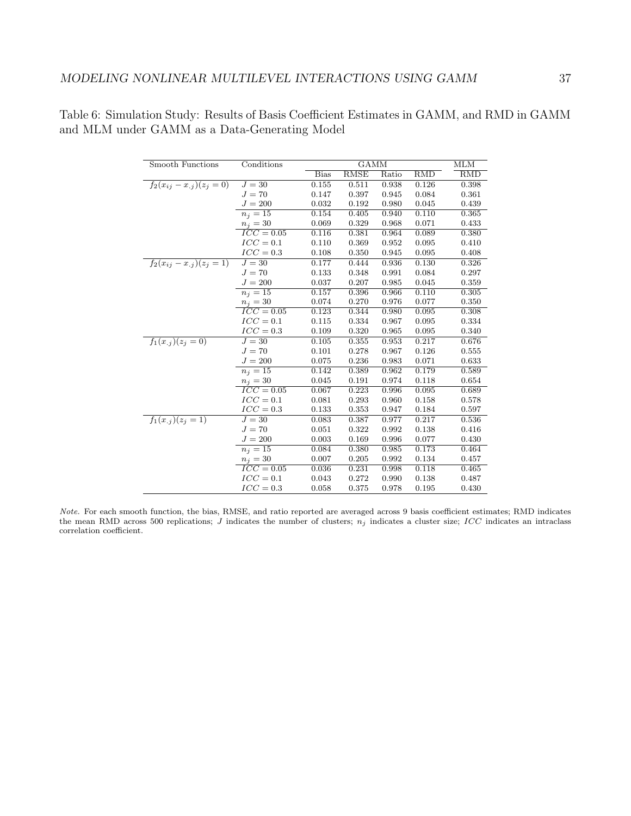| Smooth Functions                | Conditions              |             | <b>GAMM</b> |       |            |            |  |
|---------------------------------|-------------------------|-------------|-------------|-------|------------|------------|--|
|                                 |                         | <b>Bias</b> | <b>RMSE</b> | Ratio | <b>RMD</b> | <b>RMD</b> |  |
| $f_2(x_{ij} - x_{.j})(z_j = 0)$ | $J=30$                  | 0.155       | 0.511       | 0.938 | 0.126      | 0.398      |  |
|                                 | $J=70$                  | 0.147       | 0.397       | 0.945 | 0.084      | 0.361      |  |
|                                 | $J = 200$               | 0.032       | 0.192       | 0.980 | 0.045      | 0.439      |  |
|                                 | $\overline{n_j=15}$     | 0.154       | 0.405       | 0.940 | 0.110      | 0.365      |  |
|                                 | $n_j=30$                | 0.069       | 0.329       | 0.968 | 0.071      | 0.433      |  |
|                                 | $\overline{ICC} = 0.05$ | 0.116       | 0.381       | 0.964 | 0.089      | 0.380      |  |
|                                 | $ICC=0.1$               | 0.110       | 0.369       | 0.952 | 0.095      | 0.410      |  |
|                                 | $ICC=0.3$               | 0.108       | 0.350       | 0.945 | 0.095      | 0.408      |  |
| $f_2(x_{ij} - x_{.j})(z_j = 1)$ | $J=30$                  | 0.177       | 0.444       | 0.936 | 0.130      | 0.326      |  |
|                                 | $J=70$                  | 0.133       | 0.348       | 0.991 | 0.084      | 0.297      |  |
|                                 | $J = 200$               | 0.037       | 0.207       | 0.985 | 0.045      | 0.359      |  |
|                                 | $n_j=15$                | 0.157       | 0.396       | 0.966 | 0.110      | 0.305      |  |
|                                 | $n_j=30$                | 0.074       | 0.270       | 0.976 | 0.077      | 0.350      |  |
|                                 | $ICC=0.05$              | 0.123       | 0.344       | 0.980 | 0.095      | 0.308      |  |
|                                 | $ICC=0.1$               | 0.115       | 0.334       | 0.967 | 0.095      | 0.334      |  |
|                                 | $ICC=0.3$               | 0.109       | 0.320       | 0.965 | 0.095      | 0.340      |  |
| $f_1(x_{.j})(z_j = 0)$          | $J=30$                  | 0.105       | 0.355       | 0.953 | 0.217      | 0.676      |  |
|                                 | $J=70$                  | 0.101       | 0.278       | 0.967 | 0.126      | 0.555      |  |
|                                 | $J = 200$               | 0.075       | 0.236       | 0.983 | 0.071      | 0.633      |  |
|                                 | $n_j=15$                | 0.142       | 0.389       | 0.962 | 0.179      | 0.589      |  |
|                                 | $n_j=30$                | 0.045       | 0.191       | 0.974 | 0.118      | 0.654      |  |
|                                 | $ICC=0.05$              | 0.067       | 0.223       | 0.996 | 0.095      | 0.689      |  |
|                                 | $ICC=0.1$               | 0.081       | 0.293       | 0.960 | 0.158      | 0.578      |  |
|                                 | $ICC=0.3$               | 0.133       | 0.353       | 0.947 | 0.184      | 0.597      |  |
| $f_1(x_{.j})(z_j = 1)$          | $J=30$                  | 0.083       | 0.387       | 0.977 | 0.217      | 0.536      |  |
|                                 | $J=70$                  | 0.051       | 0.322       | 0.992 | 0.138      | 0.416      |  |
|                                 | $J = 200$               | 0.003       | 0.169       | 0.996 | 0.077      | 0.430      |  |
|                                 | $n_i=15$                | 0.084       | 0.380       | 0.985 | 0.173      | 0.464      |  |
|                                 | $n_j = 30$              | 0.007       | 0.205       | 0.992 | 0.134      | 0.457      |  |
|                                 | $ICC=0.05$              | 0.036       | 0.231       | 0.998 | 0.118      | 0.465      |  |
|                                 | $ICC=0.1$               | 0.043       | 0.272       | 0.990 | 0.138      | 0.487      |  |
|                                 | $ICC=0.3$               | 0.058       | 0.375       | 0.978 | 0.195      | 0.430      |  |

Table 6: Simulation Study: Results of Basis Coefficient Estimates in GAMM, and RMD in GAMM and MLM under GAMM as a Data-Generating Model

*Note.* For each smooth function, the bias, RMSE, and ratio reported are averaged across 9 basis coefficient estimates; RMD indicates the mean RMD across 500 replications; *J* indicates the number of clusters;  $n_j$  indicates a cluster size; *ICC* indicates an intraclass correlation coefficient.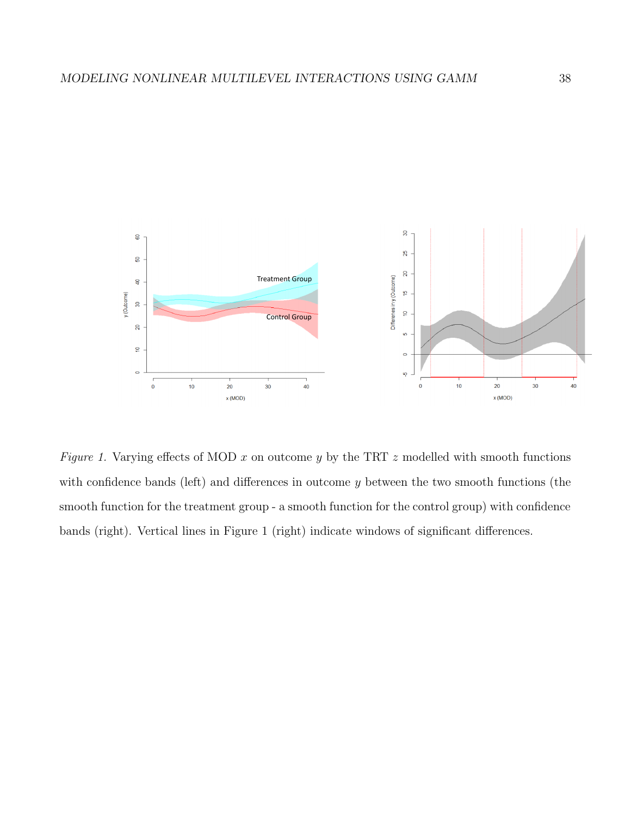

*Figure 1.* Varying effects of MOD *x* on outcome *y* by the TRT *z* modelled with smooth functions with confidence bands (left) and differences in outcome *y* between the two smooth functions (the smooth function for the treatment group - a smooth function for the control group) with confidence bands (right). Vertical lines in Figure 1 (right) indicate windows of significant differences.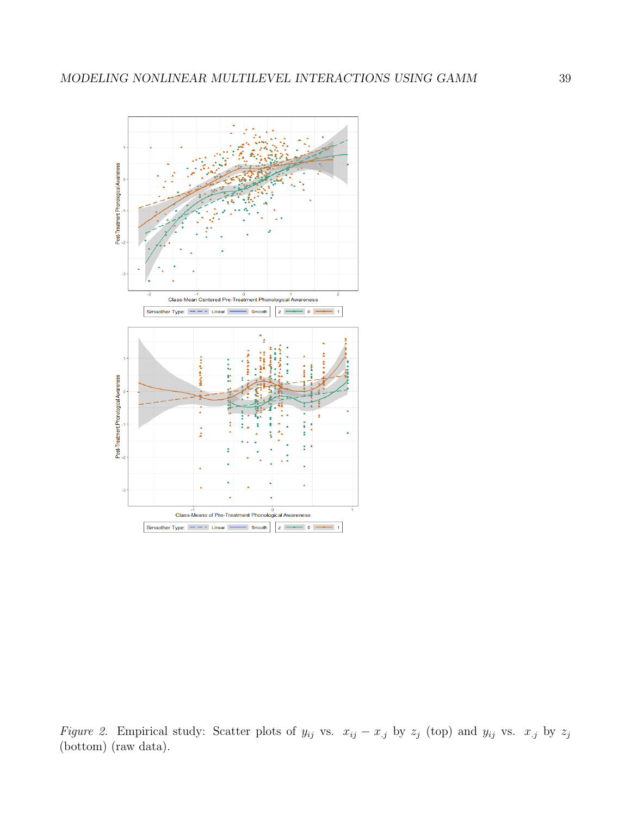

*Figure 2.* Empirical study: Scatter plots of  $y_{ij}$  vs.  $x_{ij} - x_{.j}$  by  $z_j$  (top) and  $y_{ij}$  vs.  $x_{.j}$  by  $z_j$ (bottom) (raw data).